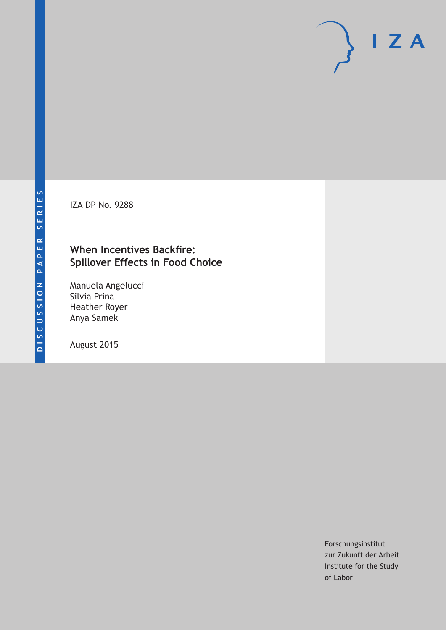IZA DP No. 9288

# **When Incentives Backfire: Spillover Effects in Food Choice**

Manuela Angelucci Silvia Prina Heather Royer Anya Samek

August 2015

Forschungsinstitut zur Zukunft der Arbeit Institute for the Study of Labor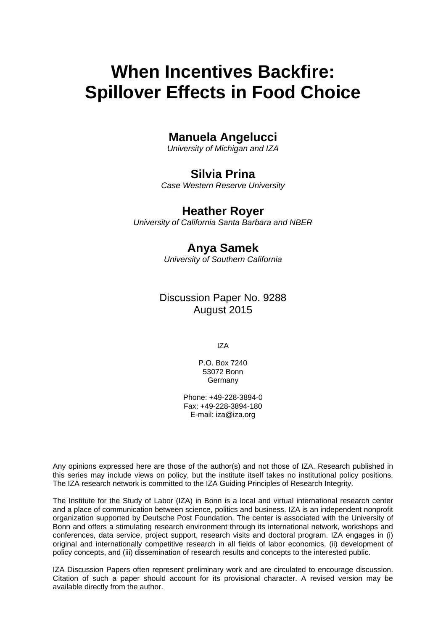# **When Incentives Backfire: Spillover Effects in Food Choice**

# **Manuela Angelucci**

*University of Michigan and IZA* 

# **Silvia Prina**

*Case Western Reserve University* 

# **Heather Royer**

*University of California Santa Barbara and NBER*

# **Anya Samek**

*University of Southern California* 

# Discussion Paper No. 9288 August 2015

IZA

P.O. Box 7240 53072 Bonn **Germany** 

Phone: +49-228-3894-0 Fax: +49-228-3894-180 E-mail: iza@iza.org

Any opinions expressed here are those of the author(s) and not those of IZA. Research published in this series may include views on policy, but the institute itself takes no institutional policy positions. The IZA research network is committed to the IZA Guiding Principles of Research Integrity.

The Institute for the Study of Labor (IZA) in Bonn is a local and virtual international research center and a place of communication between science, politics and business. IZA is an independent nonprofit organization supported by Deutsche Post Foundation. The center is associated with the University of Bonn and offers a stimulating research environment through its international network, workshops and conferences, data service, project support, research visits and doctoral program. IZA engages in (i) original and internationally competitive research in all fields of labor economics, (ii) development of policy concepts, and (iii) dissemination of research results and concepts to the interested public.

IZA Discussion Papers often represent preliminary work and are circulated to encourage discussion. Citation of such a paper should account for its provisional character. A revised version may be available directly from the author.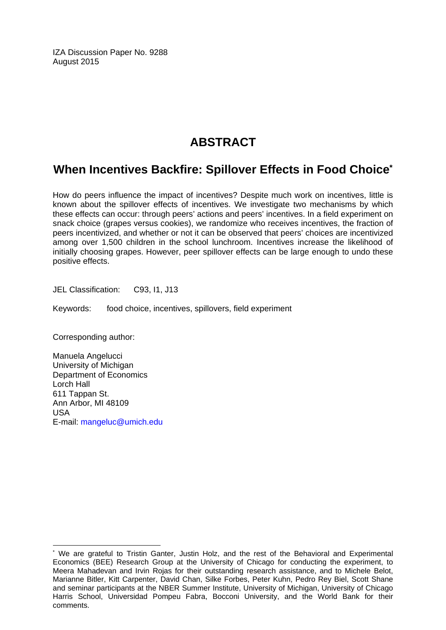IZA Discussion Paper No. 9288 August 2015

# **ABSTRACT**

# **When Incentives Backfire: Spillover Effects in Food Choice\***

How do peers influence the impact of incentives? Despite much work on incentives, little is known about the spillover effects of incentives. We investigate two mechanisms by which these effects can occur: through peers' actions and peers' incentives. In a field experiment on snack choice (grapes versus cookies), we randomize who receives incentives, the fraction of peers incentivized, and whether or not it can be observed that peers' choices are incentivized among over 1,500 children in the school lunchroom. Incentives increase the likelihood of initially choosing grapes. However, peer spillover effects can be large enough to undo these positive effects.

JEL Classification: C93, I1, J13

Keywords: food choice, incentives, spillovers, field experiment

Corresponding author:

 $\overline{\phantom{a}}$ 

Manuela Angelucci University of Michigan Department of Economics Lorch Hall 611 Tappan St. Ann Arbor, MI 48109 USA E-mail: mangeluc@umich.edu

<sup>\*</sup> We are grateful to Tristin Ganter, Justin Holz, and the rest of the Behavioral and Experimental Economics (BEE) Research Group at the University of Chicago for conducting the experiment, to Meera Mahadevan and Irvin Rojas for their outstanding research assistance, and to Michele Belot, Marianne Bitler, Kitt Carpenter, David Chan, Silke Forbes, Peter Kuhn, Pedro Rey Biel, Scott Shane and seminar participants at the NBER Summer Institute, University of Michigan, University of Chicago Harris School, Universidad Pompeu Fabra, Bocconi University, and the World Bank for their comments.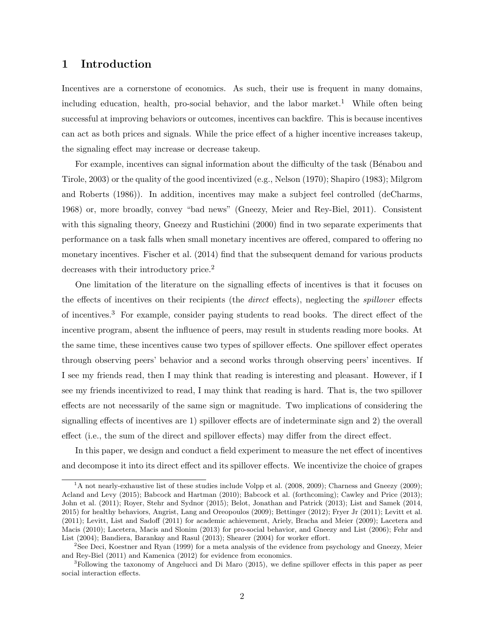### 1 Introduction

Incentives are a cornerstone of economics. As such, their use is frequent in many domains, including education, health, pro-social behavior, and the labor market.<sup>1</sup> While often being successful at improving behaviors or outcomes, incentives can backfire. This is because incentives can act as both prices and signals. While the price effect of a higher incentive increases takeup, the signaling effect may increase or decrease takeup.

For example, incentives can signal information about the difficulty of the task (Bénabou and Tirole, 2003) or the quality of the good incentivized (e.g., Nelson (1970); Shapiro (1983); Milgrom and Roberts (1986)). In addition, incentives may make a subject feel controlled (deCharms, 1968) or, more broadly, convey "bad news" (Gneezy, Meier and Rey-Biel, 2011). Consistent with this signaling theory, Gneezy and Rustichini (2000) find in two separate experiments that performance on a task falls when small monetary incentives are offered, compared to offering no monetary incentives. Fischer et al. (2014) find that the subsequent demand for various products decreases with their introductory price.<sup>2</sup>

One limitation of the literature on the signalling effects of incentives is that it focuses on the effects of incentives on their recipients (the *direct* effects), neglecting the *spillover* effects of incentives.<sup>3</sup> For example, consider paying students to read books. The direct effect of the incentive program, absent the influence of peers, may result in students reading more books. At the same time, these incentives cause two types of spillover effects. One spillover effect operates through observing peers' behavior and a second works through observing peers' incentives. If I see my friends read, then I may think that reading is interesting and pleasant. However, if I see my friends incentivized to read, I may think that reading is hard. That is, the two spillover effects are not necessarily of the same sign or magnitude. Two implications of considering the signalling effects of incentives are 1) spillover effects are of indeterminate sign and 2) the overall effect (i.e., the sum of the direct and spillover effects) may differ from the direct effect.

In this paper, we design and conduct a field experiment to measure the net effect of incentives and decompose it into its direct effect and its spillover effects. We incentivize the choice of grapes

<sup>&</sup>lt;sup>1</sup>A not nearly-exhaustive list of these studies include Volpp et al. (2008, 2009); Charness and Gneezy (2009); Acland and Levy (2015); Babcock and Hartman (2010); Babcock et al. (forthcoming); Cawley and Price (2013); John et al. (2011); Royer, Stehr and Sydnor (2015); Belot, Jonathan and Patrick (2013); List and Samek (2014, 2015) for healthy behaviors, Angrist, Lang and Oreopoulos (2009); Bettinger (2012); Fryer Jr (2011); Levitt et al. (2011); Levitt, List and Sadoff (2011) for academic achievement, Ariely, Bracha and Meier (2009); Lacetera and Macis (2010); Lacetera, Macis and Slonim (2013) for pro-social behavior, and Gneezy and List (2006); Fehr and List (2004); Bandiera, Barankay and Rasul (2013); Shearer (2004) for worker effort.

<sup>&</sup>lt;sup>2</sup>See Deci, Koestner and Ryan (1999) for a meta analysis of the evidence from psychology and Gneezy, Meier and Rey-Biel (2011) and Kamenica (2012) for evidence from economics.

<sup>3</sup>Following the taxonomy of Angelucci and Di Maro (2015), we define spillover effects in this paper as peer social interaction effects.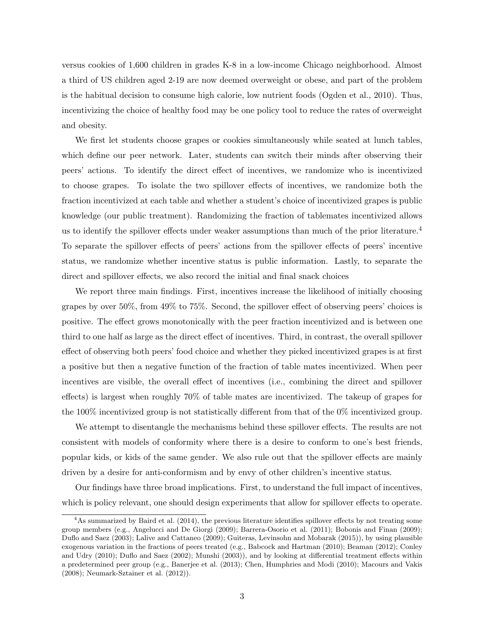versus cookies of 1,600 children in grades K-8 in a low-income Chicago neighborhood. Almost a third of US children aged 2-19 are now deemed overweight or obese, and part of the problem is the habitual decision to consume high calorie, low nutrient foods (Ogden et al., 2010). Thus, incentivizing the choice of healthy food may be one policy tool to reduce the rates of overweight and obesity.

We first let students choose grapes or cookies simultaneously while seated at lunch tables, which define our peer network. Later, students can switch their minds after observing their peers' actions. To identify the direct effect of incentives, we randomize who is incentivized to choose grapes. To isolate the two spillover effects of incentives, we randomize both the fraction incentivized at each table and whether a student's choice of incentivized grapes is public knowledge (our public treatment). Randomizing the fraction of tablemates incentivized allows us to identify the spillover effects under weaker assumptions than much of the prior literature.<sup>4</sup> To separate the spillover effects of peers' actions from the spillover effects of peers' incentive status, we randomize whether incentive status is public information. Lastly, to separate the direct and spillover effects, we also record the initial and final snack choices

We report three main findings. First, incentives increase the likelihood of initially choosing grapes by over 50%, from 49% to 75%. Second, the spillover effect of observing peers' choices is positive. The effect grows monotonically with the peer fraction incentivized and is between one third to one half as large as the direct effect of incentives. Third, in contrast, the overall spillover effect of observing both peers' food choice and whether they picked incentivized grapes is at first a positive but then a negative function of the fraction of table mates incentivized. When peer incentives are visible, the overall effect of incentives (i.e., combining the direct and spillover effects) is largest when roughly 70% of table mates are incentivized. The takeup of grapes for the 100% incentivized group is not statistically different from that of the 0% incentivized group.

We attempt to disentangle the mechanisms behind these spillover effects. The results are not consistent with models of conformity where there is a desire to conform to one's best friends, popular kids, or kids of the same gender. We also rule out that the spillover effects are mainly driven by a desire for anti-conformism and by envy of other children's incentive status.

Our findings have three broad implications. First, to understand the full impact of incentives, which is policy relevant, one should design experiments that allow for spillover effects to operate.

<sup>&</sup>lt;sup>4</sup>As summarized by Baird et al. (2014), the previous literature identifies spillover effects by not treating some group members (e.g., Angelucci and De Giorgi (2009); Barrera-Osorio et al. (2011); Bobonis and Finan (2009); Duflo and Saez (2003); Lalive and Cattaneo (2009); Guiteras, Levinsohn and Mobarak (2015)), by using plausible exogenous variation in the fractions of peers treated (e.g., Babcock and Hartman (2010); Beaman (2012); Conley and Udry (2010); Duflo and Saez (2002); Munshi (2003)), and by looking at differential treatment effects within a predetermined peer group (e.g., Banerjee et al. (2013); Chen, Humphries and Modi (2010); Macours and Vakis (2008); Neumark-Sztainer et al. (2012)).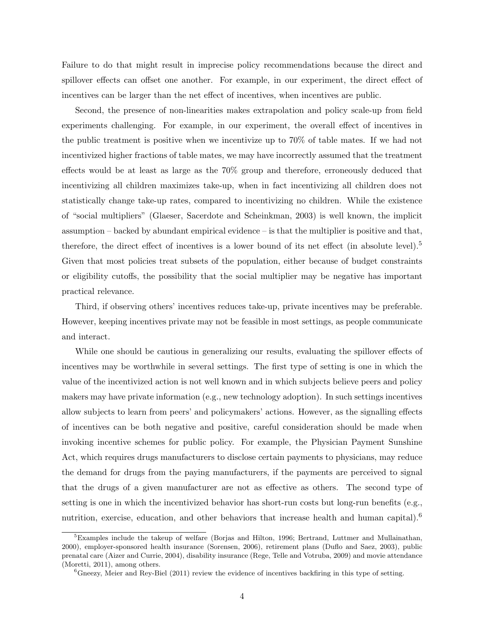Failure to do that might result in imprecise policy recommendations because the direct and spillover effects can offset one another. For example, in our experiment, the direct effect of incentives can be larger than the net effect of incentives, when incentives are public.

Second, the presence of non-linearities makes extrapolation and policy scale-up from field experiments challenging. For example, in our experiment, the overall effect of incentives in the public treatment is positive when we incentivize up to 70% of table mates. If we had not incentivized higher fractions of table mates, we may have incorrectly assumed that the treatment effects would be at least as large as the 70% group and therefore, erroneously deduced that incentivizing all children maximizes take-up, when in fact incentivizing all children does not statistically change take-up rates, compared to incentivizing no children. While the existence of "social multipliers" (Glaeser, Sacerdote and Scheinkman, 2003) is well known, the implicit assumption – backed by abundant empirical evidence – is that the multiplier is positive and that, therefore, the direct effect of incentives is a lower bound of its net effect (in absolute level).<sup>5</sup> Given that most policies treat subsets of the population, either because of budget constraints or eligibility cutoffs, the possibility that the social multiplier may be negative has important practical relevance.

Third, if observing others' incentives reduces take-up, private incentives may be preferable. However, keeping incentives private may not be feasible in most settings, as people communicate and interact.

While one should be cautious in generalizing our results, evaluating the spillover effects of incentives may be worthwhile in several settings. The first type of setting is one in which the value of the incentivized action is not well known and in which subjects believe peers and policy makers may have private information (e.g., new technology adoption). In such settings incentives allow subjects to learn from peers' and policymakers' actions. However, as the signalling effects of incentives can be both negative and positive, careful consideration should be made when invoking incentive schemes for public policy. For example, the Physician Payment Sunshine Act, which requires drugs manufacturers to disclose certain payments to physicians, may reduce the demand for drugs from the paying manufacturers, if the payments are perceived to signal that the drugs of a given manufacturer are not as effective as others. The second type of setting is one in which the incentivized behavior has short-run costs but long-run benefits (e.g., nutrition, exercise, education, and other behaviors that increase health and human capital).<sup>6</sup>

<sup>5</sup>Examples include the takeup of welfare (Borjas and Hilton, 1996; Bertrand, Luttmer and Mullainathan, 2000), employer-sponsored health insurance (Sorensen, 2006), retirement plans (Duflo and Saez, 2003), public prenatal care (Aizer and Currie, 2004), disability insurance (Rege, Telle and Votruba, 2009) and movie attendance (Moretti, 2011), among others.

 ${}^6$ Gneezy, Meier and Rey-Biel (2011) review the evidence of incentives backfiring in this type of setting.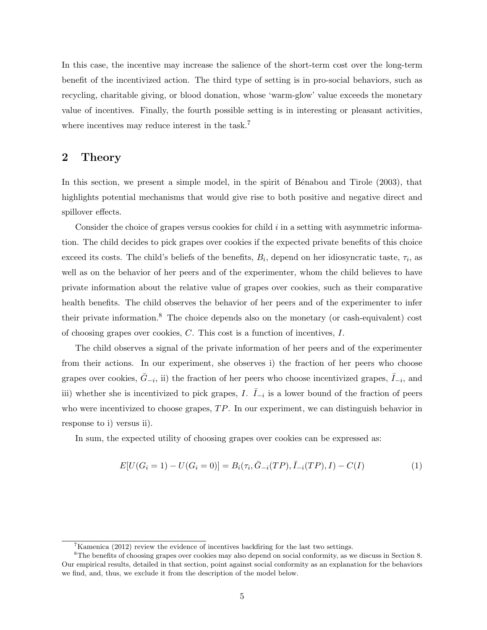In this case, the incentive may increase the salience of the short-term cost over the long-term benefit of the incentivized action. The third type of setting is in pro-social behaviors, such as recycling, charitable giving, or blood donation, whose 'warm-glow' value exceeds the monetary value of incentives. Finally, the fourth possible setting is in interesting or pleasant activities, where incentives may reduce interest in the task.<sup>7</sup>

# 2 Theory

In this section, we present a simple model, in the spirit of Bénabou and Tirole (2003), that highlights potential mechanisms that would give rise to both positive and negative direct and spillover effects.

Consider the choice of grapes versus cookies for child i in a setting with asymmetric information. The child decides to pick grapes over cookies if the expected private benefits of this choice exceed its costs. The child's beliefs of the benefits,  $B_i$ , depend on her idiosyncratic taste,  $\tau_i$ , as well as on the behavior of her peers and of the experimenter, whom the child believes to have private information about the relative value of grapes over cookies, such as their comparative health benefits. The child observes the behavior of her peers and of the experimenter to infer their private information.<sup>8</sup> The choice depends also on the monetary (or cash-equivalent) cost of choosing grapes over cookies, C. This cost is a function of incentives, I.

The child observes a signal of the private information of her peers and of the experimenter from their actions. In our experiment, she observes i) the fraction of her peers who choose grapes over cookies,  $\bar{G}_{-i}$ , ii) the fraction of her peers who choose incentivized grapes,  $\bar{I}_{-i}$ , and iii) whether she is incentivized to pick grapes, I.  $\overline{I}_{-i}$  is a lower bound of the fraction of peers who were incentivized to choose grapes,  $TP$ . In our experiment, we can distinguish behavior in response to i) versus ii).

In sum, the expected utility of choosing grapes over cookies can be expressed as:

$$
E[U(G_i = 1) - U(G_i = 0)] = B_i(\tau_i, \bar{G}_{-i}(TP), \bar{I}_{-i}(TP), I) - C(I)
$$
\n(1)

 $7$ Kamenica (2012) review the evidence of incentives backfiring for the last two settings.

<sup>&</sup>lt;sup>8</sup>The benefits of choosing grapes over cookies may also depend on social conformity, as we discuss in Section 8. Our empirical results, detailed in that section, point against social conformity as an explanation for the behaviors we find, and, thus, we exclude it from the description of the model below.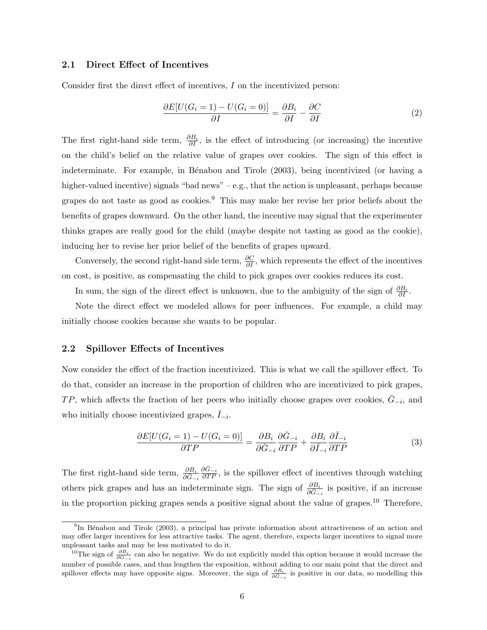#### 2.1 Direct Effect of Incentives

Consider first the direct effect of incentives, I on the incentivized person:

$$
\frac{\partial E[U(G_i=1) - U(G_i=0)]}{\partial I} = \frac{\partial B_i}{\partial I} - \frac{\partial C}{\partial I} \tag{2}
$$

The first right-hand side term,  $\frac{\partial B_i}{\partial I}$ , is the effect of introducing (or increasing) the incentive on the child's belief on the relative value of grapes over cookies. The sign of this effect is indeterminate. For example, in Bénabou and Tirole (2003), being incentivized (or having a higher-valued incentive) signals "bad news" – e.g., that the action is unpleasant, perhaps because grapes do not taste as good as cookies.<sup>9</sup> This may make her revise her prior beliefs about the benefits of grapes downward. On the other hand, the incentive may signal that the experimenter thinks grapes are really good for the child (maybe despite not tasting as good as the cookie), inducing her to revise her prior belief of the benefits of grapes upward.

Conversely, the second right-hand side term,  $\frac{\partial C}{\partial I}$ , which represents the effect of the incentives on cost, is positive, as compensating the child to pick grapes over cookies reduces its cost.

In sum, the sign of the direct effect is unknown, due to the ambiguity of the sign of  $\frac{\partial B_i}{\partial I}$ .

Note the direct effect we modeled allows for peer influences. For example, a child may initially choose cookies because she wants to be popular.

#### 2.2 Spillover Effects of Incentives

Now consider the effect of the fraction incentivized. This is what we call the spillover effect. To do that, consider an increase in the proportion of children who are incentivized to pick grapes, TP, which affects the fraction of her peers who initially choose grapes over cookies,  $\bar{G}_{-i}$ , and who initially choose incentivized grapes,  $\bar{I}_{-i}$ .

$$
\frac{\partial E[U(G_i=1) - U(G_i=0)]}{\partial TP} = \frac{\partial B_i}{\partial \bar{G}_{-i}} \frac{\partial \bar{G}_{-i}}{\partial TP} + \frac{\partial B_i}{\partial \bar{I}_{-i}} \frac{\partial \bar{I}_{-i}}{\partial TP}
$$
(3)

The first right-hand side term,  $\frac{\partial B_i}{\partial \tilde{G}_{-i}}$  $\frac{\partial \bar{G}_{-i}}{\partial TP}$ , is the spillover effect of incentives through watching others pick grapes and has an indeterminate sign. The sign of  $\frac{\partial B_i}{\partial \bar{G}_{-i}}$  is positive, if an increase in the proportion picking grapes sends a positive signal about the value of grapes.<sup>10</sup> Therefore,

<sup>&</sup>lt;sup>9</sup>In Bénabou and Tirole (2003), a principal has private information about attractiveness of an action and may offer larger incentives for less attractive tasks. The agent, therefore, expects larger incentives to signal more unpleasant tasks and may be less motivated to do it.

<sup>&</sup>lt;sup>10</sup>The sign of  $\frac{\partial B_i}{\partial \bar{G}_{-i}}$  can also be negative. We do not explicitly model this option because it would increase the number of possible cases, and thus lengthen the exposition, without adding to our main point that the direct and spillover effects may have opposite signs. Moreover, the sign of  $\frac{\partial B_i}{\partial \bar{G}_{-i}}$  is positive in our data, so modelling this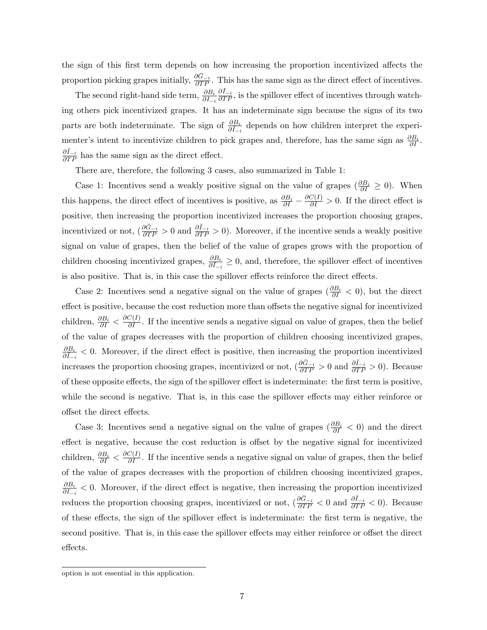the sign of this first term depends on how increasing the proportion incentivized affects the proportion picking grapes initially,  $\frac{\partial \bar{G}_{-i}}{\partial T P}$ . This has the same sign as the direct effect of incentives.

The second right-hand side term,  $\frac{\partial B_i}{\partial I_{-i}}$  $\frac{\partial \bar{I}_{-i}}{\partial TP}$ , is the spillover effect of incentives through watching others pick incentivized grapes. It has an indeterminate sign because the signs of its two parts are both indeterminate. The sign of  $\frac{\partial B_i}{\partial \bar{I}_{-i}}$  depends on how children interpret the experimenter's intent to incentivize children to pick grapes and, therefore, has the same sign as  $\frac{\partial B_i}{\partial I}$ .  $\frac{\partial \bar{I}_{-i}}{\partial T P}$  has the same sign as the direct effect.

There are, therefore, the following 3 cases, also summarized in Table 1:

Case 1: Incentives send a weakly positive signal on the value of grapes  $(\frac{\partial B_i}{\partial I} \geq 0)$ . When this happens, the direct effect of incentives is positive, as  $\frac{\partial B_i}{\partial I} - \frac{\partial C(I)}{\partial I} > 0$ . If the direct effect is positive, then increasing the proportion incentivized increases the proportion choosing grapes, incentivized or not,  $\left(\frac{\partial \bar{G}_{-i}}{\partial T P} > 0\right)$  and  $\frac{\partial \bar{I}_{-i}}{\partial T P} > 0$ ). Moreover, if the incentive sends a weakly positive signal on value of grapes, then the belief of the value of grapes grows with the proportion of children choosing incentivized grapes,  $\frac{\partial B_i}{\partial I_{-i}} \geq 0$ , and, therefore, the spillover effect of incentives is also positive. That is, in this case the spillover effects reinforce the direct effects.

Case 2: Incentives send a negative signal on the value of grapes ( $\frac{\partial B_i}{\partial I} < 0$ ), but the direct effect is positive, because the cost reduction more than offsets the negative signal for incentivized children,  $\frac{\partial B_i}{\partial I} < \frac{\partial C(I)}{\partial I}$ . If the incentive sends a negative signal on value of grapes, then the belief of the value of grapes decreases with the proportion of children choosing incentivized grapes,  $\frac{\partial B_i}{\partial I_{-i}}$  < 0. Moreover, if the direct effect is positive, then increasing the proportion incentivized increases the proportion choosing grapes, incentivized or not,  $(\frac{\partial \bar{G}_{-i}}{\partial T P} > 0$  and  $\frac{\partial \bar{I}_{-i}}{\partial T P} > 0)$ . Because of these opposite effects, the sign of the spillover effect is indeterminate: the first term is positive, while the second is negative. That is, in this case the spillover effects may either reinforce or offset the direct effects.

Case 3: Incentives send a negative signal on the value of grapes  $(\frac{\partial B_i}{\partial I} < 0)$  and the direct effect is negative, because the cost reduction is offset by the negative signal for incentivized children,  $\frac{\partial B_i}{\partial I} < \frac{\partial C(I)}{\partial I}$ . If the incentive sends a negative signal on value of grapes, then the belief of the value of grapes decreases with the proportion of children choosing incentivized grapes,  $\frac{\partial B_i}{\partial I_{-i}}$  < 0. Moreover, if the direct effect is negative, then increasing the proportion incentivized reduces the proportion choosing grapes, incentivized or not,  $\left(\frac{\partial \bar{G}_{-i}}{\partial T P} < 0\right)$  and  $\frac{\partial \bar{I}_{-i}}{\partial T P} < 0$ ). Because of these effects, the sign of the spillover effect is indeterminate: the first term is negative, the second positive. That is, in this case the spillover effects may either reinforce or offset the direct effects.

option is not essential in this application.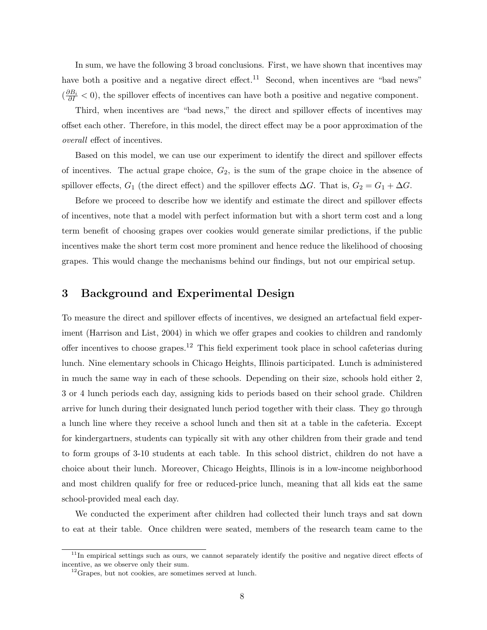In sum, we have the following 3 broad conclusions. First, we have shown that incentives may have both a positive and a negative direct effect.<sup>11</sup> Second, when incentives are "bad news"  $(\frac{\partial B_i}{\partial I} < 0)$ , the spillover effects of incentives can have both a positive and negative component.

Third, when incentives are "bad news," the direct and spillover effects of incentives may offset each other. Therefore, in this model, the direct effect may be a poor approximation of the overall effect of incentives.

Based on this model, we can use our experiment to identify the direct and spillover effects of incentives. The actual grape choice,  $G_2$ , is the sum of the grape choice in the absence of spillover effects,  $G_1$  (the direct effect) and the spillover effects  $\Delta G$ . That is,  $G_2 = G_1 + \Delta G$ .

Before we proceed to describe how we identify and estimate the direct and spillover effects of incentives, note that a model with perfect information but with a short term cost and a long term benefit of choosing grapes over cookies would generate similar predictions, if the public incentives make the short term cost more prominent and hence reduce the likelihood of choosing grapes. This would change the mechanisms behind our findings, but not our empirical setup.

### 3 Background and Experimental Design

To measure the direct and spillover effects of incentives, we designed an artefactual field experiment (Harrison and List, 2004) in which we offer grapes and cookies to children and randomly offer incentives to choose grapes.<sup>12</sup> This field experiment took place in school cafeterias during lunch. Nine elementary schools in Chicago Heights, Illinois participated. Lunch is administered in much the same way in each of these schools. Depending on their size, schools hold either 2, 3 or 4 lunch periods each day, assigning kids to periods based on their school grade. Children arrive for lunch during their designated lunch period together with their class. They go through a lunch line where they receive a school lunch and then sit at a table in the cafeteria. Except for kindergartners, students can typically sit with any other children from their grade and tend to form groups of 3-10 students at each table. In this school district, children do not have a choice about their lunch. Moreover, Chicago Heights, Illinois is in a low-income neighborhood and most children qualify for free or reduced-price lunch, meaning that all kids eat the same school-provided meal each day.

We conducted the experiment after children had collected their lunch trays and sat down to eat at their table. Once children were seated, members of the research team came to the

 $11$ In empirical settings such as ours, we cannot separately identify the positive and negative direct effects of incentive, as we observe only their sum.

<sup>&</sup>lt;sup>12</sup>Grapes, but not cookies, are sometimes served at lunch.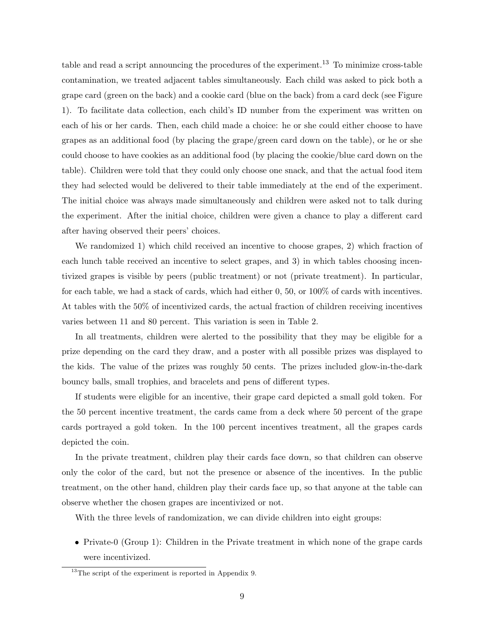table and read a script announcing the procedures of the experiment.<sup>13</sup> To minimize cross-table contamination, we treated adjacent tables simultaneously. Each child was asked to pick both a grape card (green on the back) and a cookie card (blue on the back) from a card deck (see Figure 1). To facilitate data collection, each child's ID number from the experiment was written on each of his or her cards. Then, each child made a choice: he or she could either choose to have grapes as an additional food (by placing the grape/green card down on the table), or he or she could choose to have cookies as an additional food (by placing the cookie/blue card down on the table). Children were told that they could only choose one snack, and that the actual food item they had selected would be delivered to their table immediately at the end of the experiment. The initial choice was always made simultaneously and children were asked not to talk during the experiment. After the initial choice, children were given a chance to play a different card after having observed their peers' choices.

We randomized 1) which child received an incentive to choose grapes, 2) which fraction of each lunch table received an incentive to select grapes, and 3) in which tables choosing incentivized grapes is visible by peers (public treatment) or not (private treatment). In particular, for each table, we had a stack of cards, which had either 0, 50, or 100% of cards with incentives. At tables with the 50% of incentivized cards, the actual fraction of children receiving incentives varies between 11 and 80 percent. This variation is seen in Table 2.

In all treatments, children were alerted to the possibility that they may be eligible for a prize depending on the card they draw, and a poster with all possible prizes was displayed to the kids. The value of the prizes was roughly 50 cents. The prizes included glow-in-the-dark bouncy balls, small trophies, and bracelets and pens of different types.

If students were eligible for an incentive, their grape card depicted a small gold token. For the 50 percent incentive treatment, the cards came from a deck where 50 percent of the grape cards portrayed a gold token. In the 100 percent incentives treatment, all the grapes cards depicted the coin.

In the private treatment, children play their cards face down, so that children can observe only the color of the card, but not the presence or absence of the incentives. In the public treatment, on the other hand, children play their cards face up, so that anyone at the table can observe whether the chosen grapes are incentivized or not.

With the three levels of randomization, we can divide children into eight groups:

• Private-0 (Group 1): Children in the Private treatment in which none of the grape cards were incentivized.

<sup>&</sup>lt;sup>13</sup>The script of the experiment is reported in Appendix 9.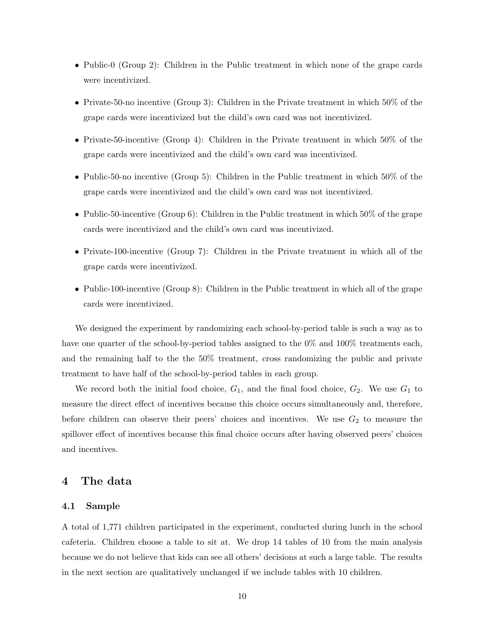- Public-0 (Group 2): Children in the Public treatment in which none of the grape cards were incentivized.
- Private-50-no incentive (Group 3): Children in the Private treatment in which 50% of the grape cards were incentivized but the child's own card was not incentivized.
- Private-50-incentive (Group 4): Children in the Private treatment in which 50% of the grape cards were incentivized and the child's own card was incentivized.
- Public-50-no incentive (Group 5): Children in the Public treatment in which 50% of the grape cards were incentivized and the child's own card was not incentivized.
- Public-50-incentive (Group 6): Children in the Public treatment in which 50% of the grape cards were incentivized and the child's own card was incentivized.
- Private-100-incentive (Group 7): Children in the Private treatment in which all of the grape cards were incentivized.
- Public-100-incentive (Group 8): Children in the Public treatment in which all of the grape cards were incentivized.

We designed the experiment by randomizing each school-by-period table is such a way as to have one quarter of the school-by-period tables assigned to the 0% and 100% treatments each, and the remaining half to the the 50% treatment, cross randomizing the public and private treatment to have half of the school-by-period tables in each group.

We record both the initial food choice,  $G_1$ , and the final food choice,  $G_2$ . We use  $G_1$  to measure the direct effect of incentives because this choice occurs simultaneously and, therefore, before children can observe their peers' choices and incentives. We use  $G_2$  to measure the spillover effect of incentives because this final choice occurs after having observed peers' choices and incentives.

#### 4 The data

#### 4.1 Sample

A total of 1,771 children participated in the experiment, conducted during lunch in the school cafeteria. Children choose a table to sit at. We drop 14 tables of 10 from the main analysis because we do not believe that kids can see all others' decisions at such a large table. The results in the next section are qualitatively unchanged if we include tables with 10 children.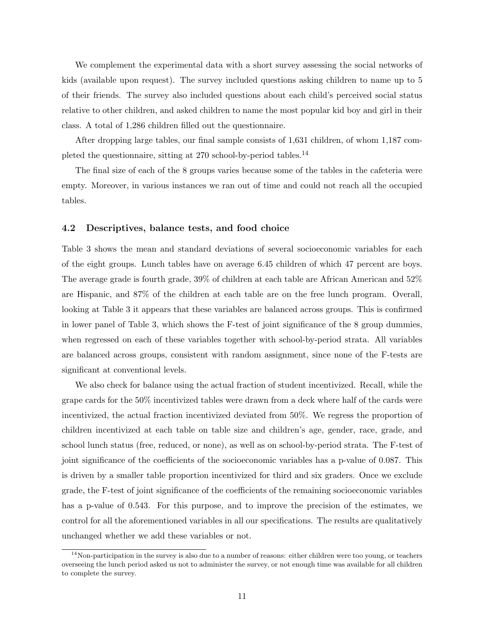We complement the experimental data with a short survey assessing the social networks of kids (available upon request). The survey included questions asking children to name up to 5 of their friends. The survey also included questions about each child's perceived social status relative to other children, and asked children to name the most popular kid boy and girl in their class. A total of 1,286 children filled out the questionnaire.

After dropping large tables, our final sample consists of 1,631 children, of whom 1,187 completed the questionnaire, sitting at 270 school-by-period tables.<sup>14</sup>

The final size of each of the 8 groups varies because some of the tables in the cafeteria were empty. Moreover, in various instances we ran out of time and could not reach all the occupied tables.

#### 4.2 Descriptives, balance tests, and food choice

Table 3 shows the mean and standard deviations of several socioeconomic variables for each of the eight groups. Lunch tables have on average 6.45 children of which 47 percent are boys. The average grade is fourth grade, 39% of children at each table are African American and 52% are Hispanic, and 87% of the children at each table are on the free lunch program. Overall, looking at Table 3 it appears that these variables are balanced across groups. This is confirmed in lower panel of Table 3, which shows the F-test of joint significance of the 8 group dummies, when regressed on each of these variables together with school-by-period strata. All variables are balanced across groups, consistent with random assignment, since none of the F-tests are significant at conventional levels.

We also check for balance using the actual fraction of student incentivized. Recall, while the grape cards for the 50% incentivized tables were drawn from a deck where half of the cards were incentivized, the actual fraction incentivized deviated from 50%. We regress the proportion of children incentivized at each table on table size and children's age, gender, race, grade, and school lunch status (free, reduced, or none), as well as on school-by-period strata. The F-test of joint significance of the coefficients of the socioeconomic variables has a p-value of 0.087. This is driven by a smaller table proportion incentivized for third and six graders. Once we exclude grade, the F-test of joint significance of the coefficients of the remaining socioeconomic variables has a p-value of 0.543. For this purpose, and to improve the precision of the estimates, we control for all the aforementioned variables in all our specifications. The results are qualitatively unchanged whether we add these variables or not.

 $14$ Non-participation in the survey is also due to a number of reasons: either children were too young, or teachers overseeing the lunch period asked us not to administer the survey, or not enough time was available for all children to complete the survey.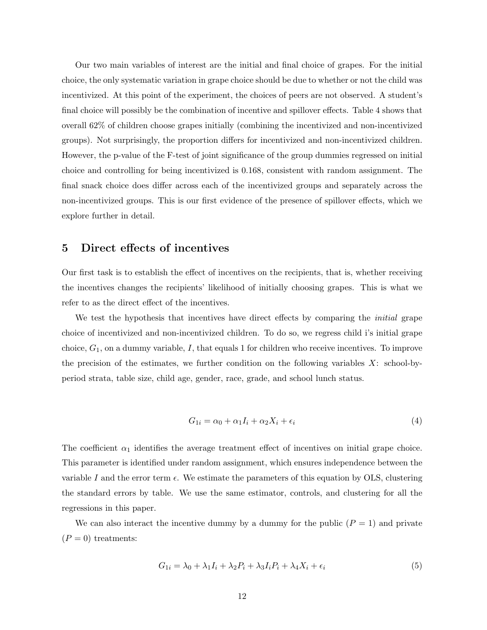Our two main variables of interest are the initial and final choice of grapes. For the initial choice, the only systematic variation in grape choice should be due to whether or not the child was incentivized. At this point of the experiment, the choices of peers are not observed. A student's final choice will possibly be the combination of incentive and spillover effects. Table 4 shows that overall 62% of children choose grapes initially (combining the incentivized and non-incentivized groups). Not surprisingly, the proportion differs for incentivized and non-incentivized children. However, the p-value of the F-test of joint significance of the group dummies regressed on initial choice and controlling for being incentivized is 0.168, consistent with random assignment. The final snack choice does differ across each of the incentivized groups and separately across the non-incentivized groups. This is our first evidence of the presence of spillover effects, which we explore further in detail.

### 5 Direct effects of incentives

Our first task is to establish the effect of incentives on the recipients, that is, whether receiving the incentives changes the recipients' likelihood of initially choosing grapes. This is what we refer to as the direct effect of the incentives.

We test the hypothesis that incentives have direct effects by comparing the *initial* grape choice of incentivized and non-incentivized children. To do so, we regress child i's initial grape choice,  $G_1$ , on a dummy variable,  $I$ , that equals 1 for children who receive incentives. To improve the precision of the estimates, we further condition on the following variables  $X$ : school-byperiod strata, table size, child age, gender, race, grade, and school lunch status.

$$
G_{1i} = \alpha_0 + \alpha_1 I_i + \alpha_2 X_i + \epsilon_i \tag{4}
$$

The coefficient  $\alpha_1$  identifies the average treatment effect of incentives on initial grape choice. This parameter is identified under random assignment, which ensures independence between the variable I and the error term  $\epsilon$ . We estimate the parameters of this equation by OLS, clustering the standard errors by table. We use the same estimator, controls, and clustering for all the regressions in this paper.

We can also interact the incentive dummy by a dummy for the public  $(P = 1)$  and private  $(P = 0)$  treatments:

$$
G_{1i} = \lambda_0 + \lambda_1 I_i + \lambda_2 P_i + \lambda_3 I_i P_i + \lambda_4 X_i + \epsilon_i
$$
\n<sup>(5)</sup>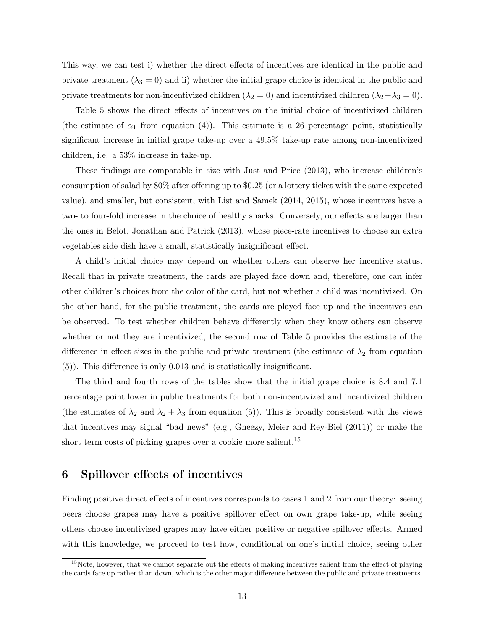This way, we can test i) whether the direct effects of incentives are identical in the public and private treatment  $(\lambda_3 = 0)$  and ii) whether the initial grape choice is identical in the public and private treatments for non-incentivized children ( $\lambda_2 = 0$ ) and incentivized children ( $\lambda_2 + \lambda_3 = 0$ ).

Table 5 shows the direct effects of incentives on the initial choice of incentivized children (the estimate of  $\alpha_1$  from equation (4)). This estimate is a 26 percentage point, statistically significant increase in initial grape take-up over a 49.5% take-up rate among non-incentivized children, i.e. a 53% increase in take-up.

These findings are comparable in size with Just and Price (2013), who increase children's consumption of salad by 80% after offering up to \$0.25 (or a lottery ticket with the same expected value), and smaller, but consistent, with List and Samek (2014, 2015), whose incentives have a two- to four-fold increase in the choice of healthy snacks. Conversely, our effects are larger than the ones in Belot, Jonathan and Patrick (2013), whose piece-rate incentives to choose an extra vegetables side dish have a small, statistically insignificant effect.

A child's initial choice may depend on whether others can observe her incentive status. Recall that in private treatment, the cards are played face down and, therefore, one can infer other children's choices from the color of the card, but not whether a child was incentivized. On the other hand, for the public treatment, the cards are played face up and the incentives can be observed. To test whether children behave differently when they know others can observe whether or not they are incentivized, the second row of Table 5 provides the estimate of the difference in effect sizes in the public and private treatment (the estimate of  $\lambda_2$  from equation (5)). This difference is only 0.013 and is statistically insignificant.

The third and fourth rows of the tables show that the initial grape choice is 8.4 and 7.1 percentage point lower in public treatments for both non-incentivized and incentivized children (the estimates of  $\lambda_2$  and  $\lambda_2 + \lambda_3$  from equation (5)). This is broadly consistent with the views that incentives may signal "bad news" (e.g., Gneezy, Meier and Rey-Biel (2011)) or make the short term costs of picking grapes over a cookie more salient.<sup>15</sup>

# 6 Spillover effects of incentives

Finding positive direct effects of incentives corresponds to cases 1 and 2 from our theory: seeing peers choose grapes may have a positive spillover effect on own grape take-up, while seeing others choose incentivized grapes may have either positive or negative spillover effects. Armed with this knowledge, we proceed to test how, conditional on one's initial choice, seeing other

<sup>&</sup>lt;sup>15</sup>Note, however, that we cannot separate out the effects of making incentives salient from the effect of playing the cards face up rather than down, which is the other major difference between the public and private treatments.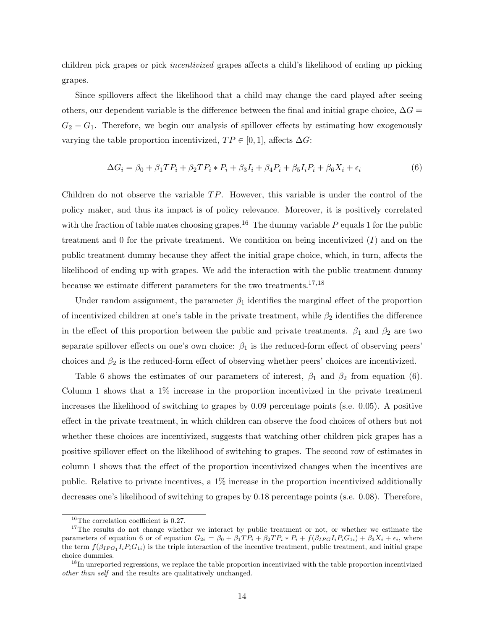children pick grapes or pick incentivized grapes affects a child's likelihood of ending up picking grapes.

Since spillovers affect the likelihood that a child may change the card played after seeing others, our dependent variable is the difference between the final and initial grape choice,  $\Delta G =$  $G_2 - G_1$ . Therefore, we begin our analysis of spillover effects by estimating how exogenously varying the table proportion incentivized,  $TP \in [0,1]$ , affects  $\Delta G$ :

$$
\Delta G_i = \beta_0 + \beta_1 T P_i + \beta_2 T P_i * P_i + \beta_3 I_i + \beta_4 P_i + \beta_5 I_i P_i + \beta_6 X_i + \epsilon_i
$$
\n
$$
(6)
$$

Children do not observe the variable  $TP$ . However, this variable is under the control of the policy maker, and thus its impact is of policy relevance. Moreover, it is positively correlated with the fraction of table mates choosing grapes.<sup>16</sup> The dummy variable  $P$  equals 1 for the public treatment and  $0$  for the private treatment. We condition on being incentivized  $(I)$  and on the public treatment dummy because they affect the initial grape choice, which, in turn, affects the likelihood of ending up with grapes. We add the interaction with the public treatment dummy because we estimate different parameters for the two treatments.<sup>17,18</sup>

Under random assignment, the parameter  $\beta_1$  identifies the marginal effect of the proportion of incentivized children at one's table in the private treatment, while  $\beta_2$  identifies the difference in the effect of this proportion between the public and private treatments.  $\beta_1$  and  $\beta_2$  are two separate spillover effects on one's own choice:  $\beta_1$  is the reduced-form effect of observing peers' choices and  $\beta_2$  is the reduced-form effect of observing whether peers' choices are incentivized.

Table 6 shows the estimates of our parameters of interest,  $\beta_1$  and  $\beta_2$  from equation (6). Column 1 shows that a 1% increase in the proportion incentivized in the private treatment increases the likelihood of switching to grapes by 0.09 percentage points (s.e. 0.05). A positive effect in the private treatment, in which children can observe the food choices of others but not whether these choices are incentivized, suggests that watching other children pick grapes has a positive spillover effect on the likelihood of switching to grapes. The second row of estimates in column 1 shows that the effect of the proportion incentivized changes when the incentives are public. Relative to private incentives, a 1% increase in the proportion incentivized additionally decreases one's likelihood of switching to grapes by 0.18 percentage points (s.e. 0.08). Therefore,

 $16$ The correlation coefficient is 0.27.

<sup>&</sup>lt;sup>17</sup>The results do not change whether we interact by public treatment or not, or whether we estimate the parameters of equation 6 or of equation  $G_{2i} = \beta_0 + \beta_1 T P_i + \beta_2 T P_i * P_i + f(\beta_{IPG} I_i P_i G_{1i}) + \beta_3 X_i + \epsilon_i$ , where the term  $f(\beta_{IPG_1}I_iP_iG_{1i})$  is the triple interaction of the incentive treatment, public treatment, and initial grape choice dummies.

<sup>&</sup>lt;sup>18</sup>In unreported regressions, we replace the table proportion incentivized with the table proportion incentivized other than self and the results are qualitatively unchanged.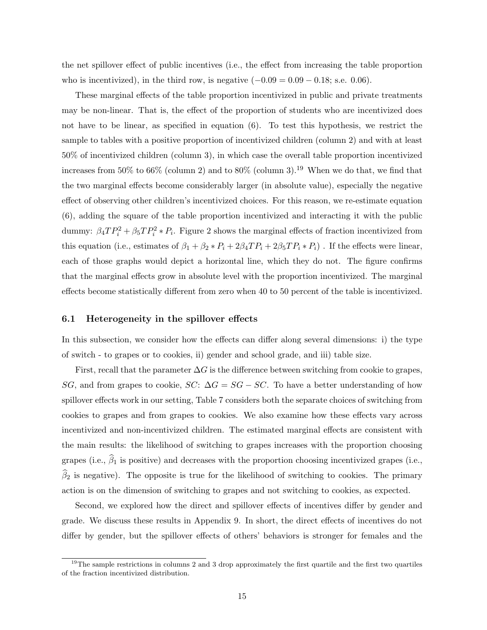the net spillover effect of public incentives (i.e., the effect from increasing the table proportion who is incentivized), in the third row, is negative  $(-0.09 = 0.09 - 0.18;$  s.e. 0.06).

These marginal effects of the table proportion incentivized in public and private treatments may be non-linear. That is, the effect of the proportion of students who are incentivized does not have to be linear, as specified in equation (6). To test this hypothesis, we restrict the sample to tables with a positive proportion of incentivized children (column 2) and with at least 50% of incentivized children (column 3), in which case the overall table proportion incentivized increases from 50% to 66% (column 2) and to 80% (column 3).<sup>19</sup> When we do that, we find that the two marginal effects become considerably larger (in absolute value), especially the negative effect of observing other children's incentivized choices. For this reason, we re-estimate equation (6), adding the square of the table proportion incentivized and interacting it with the public dummy:  $\beta_4 T P_i^2 + \beta_5 T P_i^2 * P_i$ . Figure 2 shows the marginal effects of fraction incentivized from this equation (i.e., estimates of  $\beta_1+\beta_2*P_i+2\beta_4TP_i+2\beta_5TP_i*P_i)$  . If the effects were linear, each of those graphs would depict a horizontal line, which they do not. The figure confirms that the marginal effects grow in absolute level with the proportion incentivized. The marginal effects become statistically different from zero when 40 to 50 percent of the table is incentivized.

#### 6.1 Heterogeneity in the spillover effects

In this subsection, we consider how the effects can differ along several dimensions: i) the type of switch - to grapes or to cookies, ii) gender and school grade, and iii) table size.

First, recall that the parameter  $\Delta G$  is the difference between switching from cookie to grapes, SG, and from grapes to cookie,  $SC: \Delta G = SG - SC$ . To have a better understanding of how spillover effects work in our setting, Table 7 considers both the separate choices of switching from cookies to grapes and from grapes to cookies. We also examine how these effects vary across incentivized and non-incentivized children. The estimated marginal effects are consistent with the main results: the likelihood of switching to grapes increases with the proportion choosing grapes (i.e.,  $\hat{\beta}_1$  is positive) and decreases with the proportion choosing incentivized grapes (i.e.,  $\hat{\beta}_2$  is negative). The opposite is true for the likelihood of switching to cookies. The primary action is on the dimension of switching to grapes and not switching to cookies, as expected.

Second, we explored how the direct and spillover effects of incentives differ by gender and grade. We discuss these results in Appendix 9. In short, the direct effects of incentives do not differ by gender, but the spillover effects of others' behaviors is stronger for females and the

 $19$ The sample restrictions in columns 2 and 3 drop approximately the first quartile and the first two quartiles of the fraction incentivized distribution.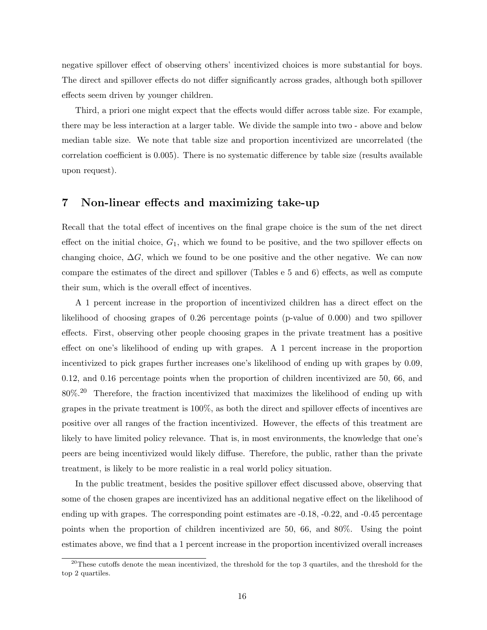negative spillover effect of observing others' incentivized choices is more substantial for boys. The direct and spillover effects do not differ significantly across grades, although both spillover effects seem driven by younger children.

Third, a priori one might expect that the effects would differ across table size. For example, there may be less interaction at a larger table. We divide the sample into two - above and below median table size. We note that table size and proportion incentivized are uncorrelated (the correlation coefficient is 0.005). There is no systematic difference by table size (results available upon request).

### 7 Non-linear effects and maximizing take-up

Recall that the total effect of incentives on the final grape choice is the sum of the net direct effect on the initial choice,  $G_1$ , which we found to be positive, and the two spillover effects on changing choice,  $\Delta G$ , which we found to be one positive and the other negative. We can now compare the estimates of the direct and spillover (Tables e 5 and 6) effects, as well as compute their sum, which is the overall effect of incentives.

A 1 percent increase in the proportion of incentivized children has a direct effect on the likelihood of choosing grapes of 0.26 percentage points (p-value of 0.000) and two spillover effects. First, observing other people choosing grapes in the private treatment has a positive effect on one's likelihood of ending up with grapes. A 1 percent increase in the proportion incentivized to pick grapes further increases one's likelihood of ending up with grapes by 0.09, 0.12, and 0.16 percentage points when the proportion of children incentivized are 50, 66, and 80%.<sup>20</sup> Therefore, the fraction incentivized that maximizes the likelihood of ending up with grapes in the private treatment is 100%, as both the direct and spillover effects of incentives are positive over all ranges of the fraction incentivized. However, the effects of this treatment are likely to have limited policy relevance. That is, in most environments, the knowledge that one's peers are being incentivized would likely diffuse. Therefore, the public, rather than the private treatment, is likely to be more realistic in a real world policy situation.

In the public treatment, besides the positive spillover effect discussed above, observing that some of the chosen grapes are incentivized has an additional negative effect on the likelihood of ending up with grapes. The corresponding point estimates are -0.18, -0.22, and -0.45 percentage points when the proportion of children incentivized are 50, 66, and 80%. Using the point estimates above, we find that a 1 percent increase in the proportion incentivized overall increases

<sup>&</sup>lt;sup>20</sup>These cutoffs denote the mean incentivized, the threshold for the top 3 quartiles, and the threshold for the top 2 quartiles.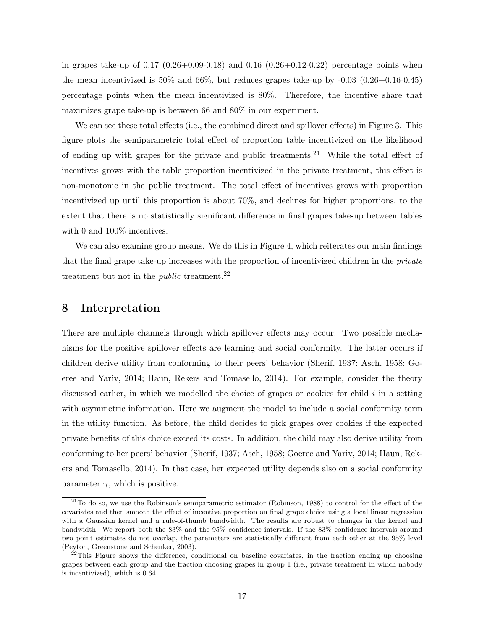in grapes take-up of  $0.17$   $(0.26+0.09-0.18)$  and  $0.16$   $(0.26+0.12-0.22)$  percentage points when the mean incentivized is  $50\%$  and  $66\%$ , but reduces grapes take-up by  $-0.03$   $(0.26+0.16-0.45)$ percentage points when the mean incentivized is 80%. Therefore, the incentive share that maximizes grape take-up is between 66 and 80% in our experiment.

We can see these total effects (i.e., the combined direct and spillover effects) in Figure 3. This figure plots the semiparametric total effect of proportion table incentivized on the likelihood of ending up with grapes for the private and public treatments.<sup>21</sup> While the total effect of incentives grows with the table proportion incentivized in the private treatment, this effect is non-monotonic in the public treatment. The total effect of incentives grows with proportion incentivized up until this proportion is about 70%, and declines for higher proportions, to the extent that there is no statistically significant difference in final grapes take-up between tables with 0 and  $100\%$  incentives.

We can also examine group means. We do this in Figure 4, which reiterates our main findings that the final grape take-up increases with the proportion of incentivized children in the private treatment but not in the *public* treatment.<sup>22</sup>

### 8 Interpretation

There are multiple channels through which spillover effects may occur. Two possible mechanisms for the positive spillover effects are learning and social conformity. The latter occurs if children derive utility from conforming to their peers' behavior (Sherif, 1937; Asch, 1958; Goeree and Yariv, 2014; Haun, Rekers and Tomasello, 2014). For example, consider the theory discussed earlier, in which we modelled the choice of grapes or cookies for child  $i$  in a setting with asymmetric information. Here we augment the model to include a social conformity term in the utility function. As before, the child decides to pick grapes over cookies if the expected private benefits of this choice exceed its costs. In addition, the child may also derive utility from conforming to her peers' behavior (Sherif, 1937; Asch, 1958; Goeree and Yariv, 2014; Haun, Rekers and Tomasello, 2014). In that case, her expected utility depends also on a social conformity parameter  $\gamma$ , which is positive.

 $21$ To do so, we use the Robinson's semiparametric estimator (Robinson, 1988) to control for the effect of the covariates and then smooth the effect of incentive proportion on final grape choice using a local linear regression with a Gaussian kernel and a rule-of-thumb bandwidth. The results are robust to changes in the kernel and bandwidth. We report both the 83% and the 95% confidence intervals. If the 83% confidence intervals around two point estimates do not overlap, the parameters are statistically different from each other at the 95% level (Peyton, Greenstone and Schenker, 2003).

 $^{22}$ This Figure shows the difference, conditional on baseline covariates, in the fraction ending up choosing grapes between each group and the fraction choosing grapes in group 1 (i.e., private treatment in which nobody is incentivized), which is 0.64.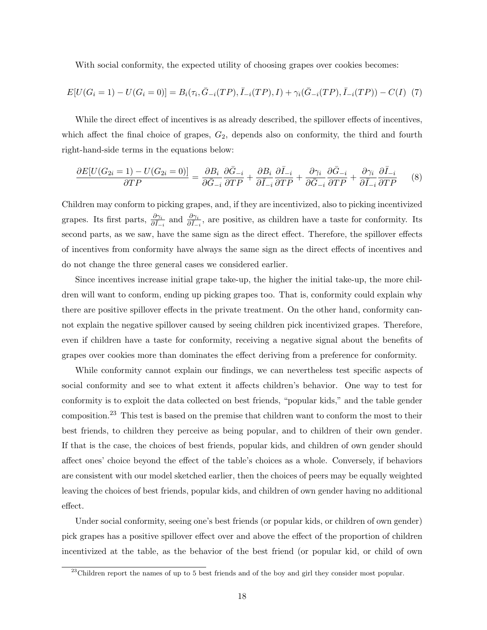With social conformity, the expected utility of choosing grapes over cookies becomes:

$$
E[U(G_i = 1) - U(G_i = 0)] = B_i(\tau_i, \bar{G}_{-i}(TP), \bar{I}_{-i}(TP), I) + \gamma_i(\bar{G}_{-i}(TP), \bar{I}_{-i}(TP)) - C(I) \tag{7}
$$

While the direct effect of incentives is as already described, the spillover effects of incentives, which affect the final choice of grapes,  $G_2$ , depends also on conformity, the third and fourth right-hand-side terms in the equations below:

$$
\frac{\partial E[U(G_{2i}=1)-U(G_{2i}=0)]}{\partial TP} = \frac{\partial B_i}{\partial \bar{G}_{-i}} \frac{\partial \bar{G}_{-i}}{\partial TP} + \frac{\partial B_i}{\partial \bar{I}_{-i}} \frac{\partial \bar{I}_{-i}}{\partial TP} + \frac{\partial \gamma_i}{\partial \bar{G}_{-i}} \frac{\partial \bar{G}_{-i}}{\partial TP} + \frac{\partial \gamma_i}{\partial \bar{I}_{-i}} \frac{\partial \bar{I}_{-i}}{\partial TP}
$$
(8)

Children may conform to picking grapes, and, if they are incentivized, also to picking incentivized grapes. Its first parts,  $\frac{\partial \gamma_i}{\partial \bar{I}_{-i}}$  and  $\frac{\partial \gamma_i}{\partial \bar{I}_{-i}}$ , are positive, as children have a taste for conformity. Its second parts, as we saw, have the same sign as the direct effect. Therefore, the spillover effects of incentives from conformity have always the same sign as the direct effects of incentives and do not change the three general cases we considered earlier.

Since incentives increase initial grape take-up, the higher the initial take-up, the more children will want to conform, ending up picking grapes too. That is, conformity could explain why there are positive spillover effects in the private treatment. On the other hand, conformity cannot explain the negative spillover caused by seeing children pick incentivized grapes. Therefore, even if children have a taste for conformity, receiving a negative signal about the benefits of grapes over cookies more than dominates the effect deriving from a preference for conformity.

While conformity cannot explain our findings, we can nevertheless test specific aspects of social conformity and see to what extent it affects children's behavior. One way to test for conformity is to exploit the data collected on best friends, "popular kids," and the table gender composition.<sup>23</sup> This test is based on the premise that children want to conform the most to their best friends, to children they perceive as being popular, and to children of their own gender. If that is the case, the choices of best friends, popular kids, and children of own gender should affect ones' choice beyond the effect of the table's choices as a whole. Conversely, if behaviors are consistent with our model sketched earlier, then the choices of peers may be equally weighted leaving the choices of best friends, popular kids, and children of own gender having no additional effect.

Under social conformity, seeing one's best friends (or popular kids, or children of own gender) pick grapes has a positive spillover effect over and above the effect of the proportion of children incentivized at the table, as the behavior of the best friend (or popular kid, or child of own

<sup>&</sup>lt;sup>23</sup>Children report the names of up to 5 best friends and of the boy and girl they consider most popular.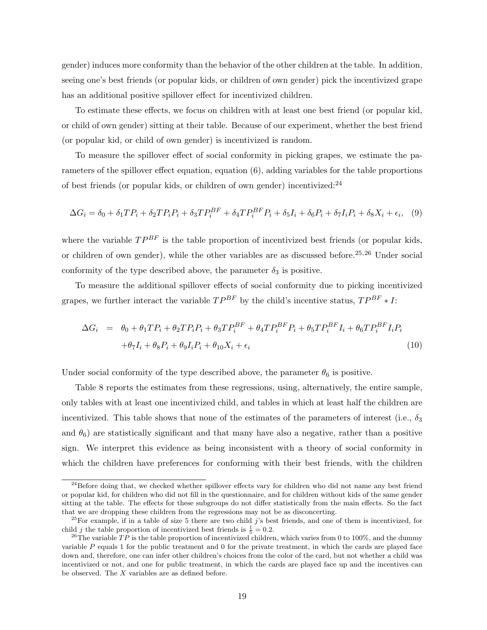gender) induces more conformity than the behavior of the other children at the table. In addition, seeing one's best friends (or popular kids, or children of own gender) pick the incentivized grape has an additional positive spillover effect for incentivized children.

To estimate these effects, we focus on children with at least one best friend (or popular kid, or child of own gender) sitting at their table. Because of our experiment, whether the best friend (or popular kid, or child of own gender) is incentivized is random.

To measure the spillover effect of social conformity in picking grapes, we estimate the parameters of the spillover effect equation, equation (6), adding variables for the table proportions of best friends (or popular kids, or children of own gender) incentivized:  $24$ 

$$
\Delta G_i = \delta_0 + \delta_1 T P_i + \delta_2 T P_i P_i + \delta_3 T P_i^{BF} + \delta_4 T P_i^{BF} P_i + \delta_5 I_i + \delta_6 P_i + \delta_7 I_i P_i + \delta_8 X_i + \epsilon_i,\tag{9}
$$

where the variable  $TP^{BF}$  is the table proportion of incentivized best friends (or popular kids, or children of own gender), while the other variables are as discussed before.<sup>25,26</sup> Under social conformity of the type described above, the parameter  $\delta_3$  is positive.

To measure the additional spillover effects of social conformity due to picking incentivized grapes, we further interact the variable  $TP^{BF}$  by the child's incentive status,  $TP^{BF} * I$ :

$$
\Delta G_i = \theta_0 + \theta_1 T P_i + \theta_2 T P_i P_i + \theta_3 T P_i^{BF} + \theta_4 T P_i^{BF} P_i + \theta_5 T P_i^{BF} I_i + \theta_6 T P_i^{BF} I_i P_i
$$
  
+
$$
\theta_7 I_i + \theta_8 P_i + \theta_9 I_i P_i + \theta_{10} X_i + \epsilon_i
$$
 (10)

Under social conformity of the type described above, the parameter  $\theta_6$  is positive.

Table 8 reports the estimates from these regressions, using, alternatively, the entire sample, only tables with at least one incentivized child, and tables in which at least half the children are incentivized. This table shows that none of the estimates of the parameters of interest (i.e.,  $\delta_3$ ) and  $\theta_6$ ) are statistically significant and that many have also a negative, rather than a positive sign. We interpret this evidence as being inconsistent with a theory of social conformity in which the children have preferences for conforming with their best friends, with the children

 $^{24}$ Before doing that, we checked whether spillover effects vary for children who did not name any best friend or popular kid, for children who did not fill in the questionnaire, and for children without kids of the same gender sitting at the table. The effects for these subgroups do not differ statistically from the main effects. So the fact that we are dropping these children from the regressions may not be as disconcerting.

<sup>&</sup>lt;sup>25</sup>For example, if in a table of size 5 there are two child j's best friends, and one of them is incentivized, for child *j* the table proportion of incentivized best friends is  $\frac{1}{5} = 0.2$ .

<sup>&</sup>lt;sup>26</sup>The variable TP is the table proportion of incentivized children, which varies from 0 to 100%, and the dummy variable P equals 1 for the public treatment and 0 for the private treatment, in which the cards are played face down and, therefore, one can infer other children's choices from the color of the card, but not whether a child was incentivized or not, and one for public treatment, in which the cards are played face up and the incentives can be observed. The  $X$  variables are as defined before.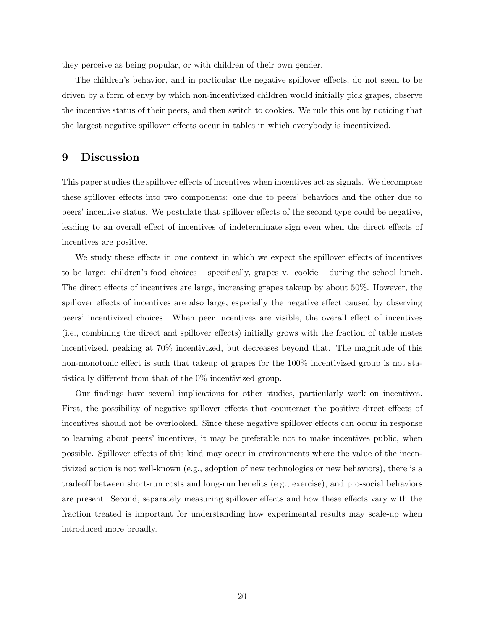they perceive as being popular, or with children of their own gender.

The children's behavior, and in particular the negative spillover effects, do not seem to be driven by a form of envy by which non-incentivized children would initially pick grapes, observe the incentive status of their peers, and then switch to cookies. We rule this out by noticing that the largest negative spillover effects occur in tables in which everybody is incentivized.

## 9 Discussion

This paper studies the spillover effects of incentives when incentives act as signals. We decompose these spillover effects into two components: one due to peers' behaviors and the other due to peers' incentive status. We postulate that spillover effects of the second type could be negative, leading to an overall effect of incentives of indeterminate sign even when the direct effects of incentives are positive.

We study these effects in one context in which we expect the spillover effects of incentives to be large: children's food choices – specifically, grapes v. cookie – during the school lunch. The direct effects of incentives are large, increasing grapes takeup by about 50%. However, the spillover effects of incentives are also large, especially the negative effect caused by observing peers' incentivized choices. When peer incentives are visible, the overall effect of incentives (i.e., combining the direct and spillover effects) initially grows with the fraction of table mates incentivized, peaking at 70% incentivized, but decreases beyond that. The magnitude of this non-monotonic effect is such that takeup of grapes for the 100% incentivized group is not statistically different from that of the 0% incentivized group.

Our findings have several implications for other studies, particularly work on incentives. First, the possibility of negative spillover effects that counteract the positive direct effects of incentives should not be overlooked. Since these negative spillover effects can occur in response to learning about peers' incentives, it may be preferable not to make incentives public, when possible. Spillover effects of this kind may occur in environments where the value of the incentivized action is not well-known (e.g., adoption of new technologies or new behaviors), there is a tradeoff between short-run costs and long-run benefits (e.g., exercise), and pro-social behaviors are present. Second, separately measuring spillover effects and how these effects vary with the fraction treated is important for understanding how experimental results may scale-up when introduced more broadly.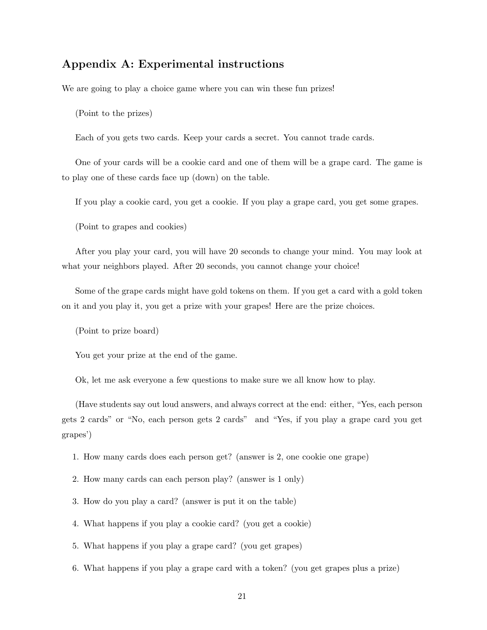## Appendix A: Experimental instructions

We are going to play a choice game where you can win these fun prizes!

(Point to the prizes)

Each of you gets two cards. Keep your cards a secret. You cannot trade cards.

One of your cards will be a cookie card and one of them will be a grape card. The game is to play one of these cards face up (down) on the table.

If you play a cookie card, you get a cookie. If you play a grape card, you get some grapes.

(Point to grapes and cookies)

After you play your card, you will have 20 seconds to change your mind. You may look at what your neighbors played. After 20 seconds, you cannot change your choice!

Some of the grape cards might have gold tokens on them. If you get a card with a gold token on it and you play it, you get a prize with your grapes! Here are the prize choices.

(Point to prize board)

You get your prize at the end of the game.

Ok, let me ask everyone a few questions to make sure we all know how to play.

(Have students say out loud answers, and always correct at the end: either, "Yes, each person gets 2 cards" or "No, each person gets 2 cards" and "Yes, if you play a grape card you get grapes')

1. How many cards does each person get? (answer is 2, one cookie one grape)

2. How many cards can each person play? (answer is 1 only)

3. How do you play a card? (answer is put it on the table)

4. What happens if you play a cookie card? (you get a cookie)

5. What happens if you play a grape card? (you get grapes)

6. What happens if you play a grape card with a token? (you get grapes plus a prize)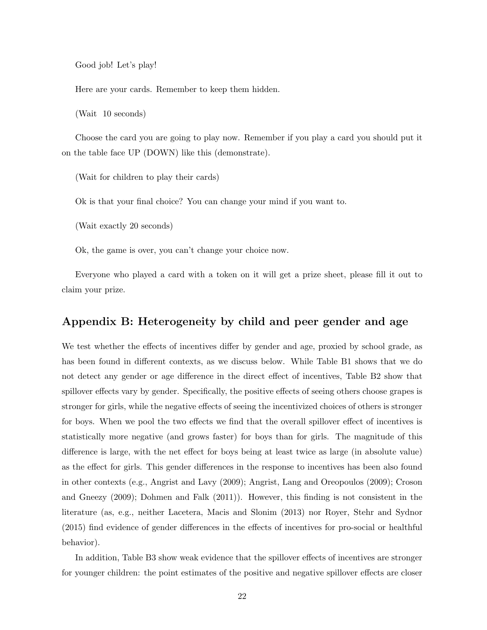Good job! Let's play!

Here are your cards. Remember to keep them hidden.

(Wait 10 seconds)

Choose the card you are going to play now. Remember if you play a card you should put it on the table face UP (DOWN) like this (demonstrate).

(Wait for children to play their cards)

Ok is that your final choice? You can change your mind if you want to.

(Wait exactly 20 seconds)

Ok, the game is over, you can't change your choice now.

Everyone who played a card with a token on it will get a prize sheet, please fill it out to claim your prize.

### Appendix B: Heterogeneity by child and peer gender and age

We test whether the effects of incentives differ by gender and age, proxied by school grade, as has been found in different contexts, as we discuss below. While Table B1 shows that we do not detect any gender or age difference in the direct effect of incentives, Table B2 show that spillover effects vary by gender. Specifically, the positive effects of seeing others choose grapes is stronger for girls, while the negative effects of seeing the incentivized choices of others is stronger for boys. When we pool the two effects we find that the overall spillover effect of incentives is statistically more negative (and grows faster) for boys than for girls. The magnitude of this difference is large, with the net effect for boys being at least twice as large (in absolute value) as the effect for girls. This gender differences in the response to incentives has been also found in other contexts (e.g., Angrist and Lavy (2009); Angrist, Lang and Oreopoulos (2009); Croson and Gneezy (2009); Dohmen and Falk (2011)). However, this finding is not consistent in the literature (as, e.g., neither Lacetera, Macis and Slonim (2013) nor Royer, Stehr and Sydnor (2015) find evidence of gender differences in the effects of incentives for pro-social or healthful behavior).

In addition, Table B3 show weak evidence that the spillover effects of incentives are stronger for younger children: the point estimates of the positive and negative spillover effects are closer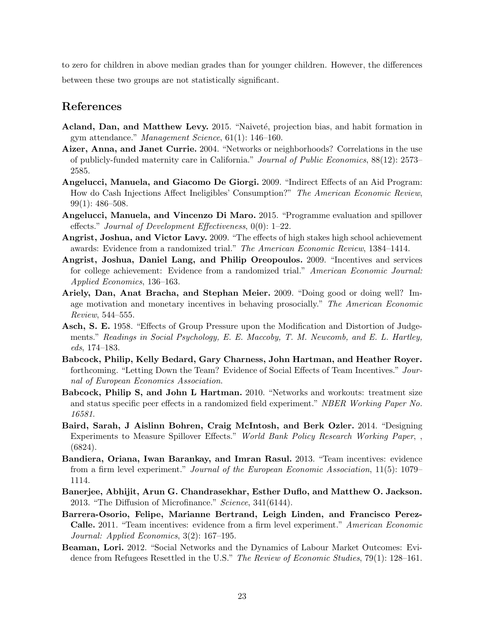to zero for children in above median grades than for younger children. However, the differences between these two groups are not statistically significant.

## References

- Acland, Dan, and Matthew Levy. 2015. "Naiveté, projection bias, and habit formation in gym attendance." Management Science, 61(1): 146–160.
- Aizer, Anna, and Janet Currie. 2004. "Networks or neighborhoods? Correlations in the use of publicly-funded maternity care in California." Journal of Public Economics, 88(12): 2573– 2585.
- Angelucci, Manuela, and Giacomo De Giorgi. 2009. "Indirect Effects of an Aid Program: How do Cash Injections Affect Ineligibles' Consumption?" The American Economic Review, 99(1): 486–508.
- Angelucci, Manuela, and Vincenzo Di Maro. 2015. "Programme evaluation and spillover effects." Journal of Development Effectiveness, 0(0): 1–22.
- Angrist, Joshua, and Victor Lavy. 2009. "The effects of high stakes high school achievement awards: Evidence from a randomized trial." The American Economic Review, 1384–1414.
- Angrist, Joshua, Daniel Lang, and Philip Oreopoulos. 2009. "Incentives and services for college achievement: Evidence from a randomized trial." American Economic Journal: Applied Economics, 136–163.
- Ariely, Dan, Anat Bracha, and Stephan Meier. 2009. "Doing good or doing well? Image motivation and monetary incentives in behaving prosocially." The American Economic Review, 544–555.
- Asch, S. E. 1958. "Effects of Group Pressure upon the Modification and Distortion of Judgements." Readings in Social Psychology, E. E. Maccoby, T. M. Newcomb, and E. L. Hartley,  $eds, 174-183.$
- Babcock, Philip, Kelly Bedard, Gary Charness, John Hartman, and Heather Royer. forthcoming. "Letting Down the Team? Evidence of Social Effects of Team Incentives." Journal of European Economics Association.
- Babcock, Philip S, and John L Hartman. 2010. "Networks and workouts: treatment size and status specific peer effects in a randomized field experiment." NBER Working Paper No. 16581.
- Baird, Sarah, J Aislinn Bohren, Craig McIntosh, and Berk Ozler. 2014. "Designing Experiments to Measure Spillover Effects." World Bank Policy Research Working Paper, , (6824).
- Bandiera, Oriana, Iwan Barankay, and Imran Rasul. 2013. "Team incentives: evidence from a firm level experiment." Journal of the European Economic Association, 11(5): 1079– 1114.
- Banerjee, Abhijit, Arun G. Chandrasekhar, Esther Duflo, and Matthew O. Jackson. 2013. "The Diffusion of Microfinance." Science, 341(6144).
- Barrera-Osorio, Felipe, Marianne Bertrand, Leigh Linden, and Francisco Perez-Calle. 2011. "Team incentives: evidence from a firm level experiment." American Economic Journal: Applied Economics, 3(2): 167–195.
- Beaman, Lori. 2012. "Social Networks and the Dynamics of Labour Market Outcomes: Evidence from Refugees Resettled in the U.S." The Review of Economic Studies, 79(1): 128-161.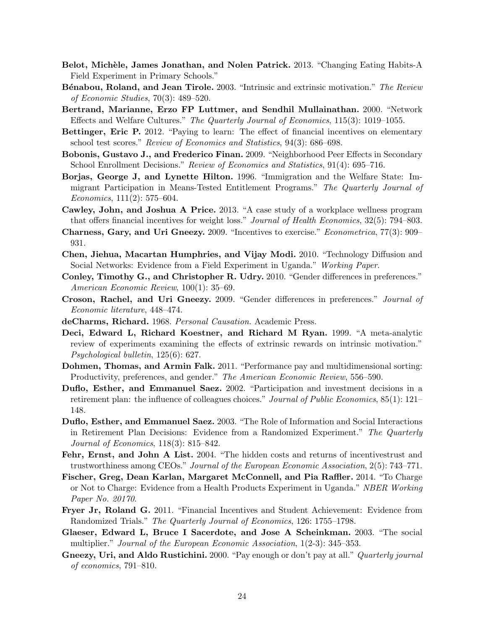- Belot, Michèle, James Jonathan, and Nolen Patrick. 2013. "Changing Eating Habits-A Field Experiment in Primary Schools."
- Bénabou, Roland, and Jean Tirole. 2003. "Intrinsic and extrinsic motivation." The Review of Economic Studies, 70(3): 489–520.
- Bertrand, Marianne, Erzo FP Luttmer, and Sendhil Mullainathan. 2000. "Network Effects and Welfare Cultures." The Quarterly Journal of Economics, 115(3): 1019–1055.
- Bettinger, Eric P. 2012. "Paying to learn: The effect of financial incentives on elementary school test scores." Review of Economics and Statistics, 94(3): 686–698.
- Bobonis, Gustavo J., and Frederico Finan. 2009. "Neighborhood Peer Effects in Secondary School Enrollment Decisions." Review of Economics and Statistics, 91(4): 695–716.
- Borjas, George J, and Lynette Hilton. 1996. "Immigration and the Welfare State: Immigrant Participation in Means-Tested Entitlement Programs." The Quarterly Journal of  $Economics, 111(2): 575-604.$
- Cawley, John, and Joshua A Price. 2013. "A case study of a workplace wellness program that offers financial incentives for weight loss." Journal of Health Economics, 32(5): 794–803.
- Charness, Gary, and Uri Gneezy. 2009. "Incentives to exercise." Econometrica, 77(3): 909– 931.
- Chen, Jiehua, Macartan Humphries, and Vijay Modi. 2010. "Technology Diffusion and Social Networks: Evidence from a Field Experiment in Uganda." Working Paper.
- Conley, Timothy G., and Christopher R. Udry. 2010. "Gender differences in preferences." American Economic Review, 100(1): 35–69.
- Croson, Rachel, and Uri Gneezy. 2009. "Gender differences in preferences." Journal of Economic literature, 448–474.
- deCharms, Richard. 1968. Personal Causation. Academic Press.
- Deci, Edward L, Richard Koestner, and Richard M Ryan. 1999. "A meta-analytic review of experiments examining the effects of extrinsic rewards on intrinsic motivation." Psychological bulletin, 125(6): 627.
- Dohmen, Thomas, and Armin Falk. 2011. "Performance pay and multidimensional sorting: Productivity, preferences, and gender." The American Economic Review, 556–590.
- Duflo, Esther, and Emmanuel Saez. 2002. "Participation and investment decisions in a retirement plan: the influence of colleagues choices." Journal of Public Economics, 85(1): 121– 148.
- Duflo, Esther, and Emmanuel Saez. 2003. "The Role of Information and Social Interactions in Retirement Plan Decisions: Evidence from a Randomized Experiment." The Quarterly Journal of Economics, 118(3): 815–842.
- Fehr, Ernst, and John A List. 2004. "The hidden costs and returns of incentivestrust and trustworthiness among CEOs." Journal of the European Economic Association, 2(5): 743–771.
- Fischer, Greg, Dean Karlan, Margaret McConnell, and Pia Raffler. 2014. "To Charge or Not to Charge: Evidence from a Health Products Experiment in Uganda." NBER Working Paper No. 20170.
- Fryer Jr, Roland G. 2011. "Financial Incentives and Student Achievement: Evidence from Randomized Trials." The Quarterly Journal of Economics, 126: 1755–1798.
- Glaeser, Edward L, Bruce I Sacerdote, and Jose A Scheinkman. 2003. "The social multiplier." Journal of the European Economic Association, 1(2-3): 345–353.
- Gneezy, Uri, and Aldo Rustichini. 2000. "Pay enough or don't pay at all." *Quarterly journal* of economics, 791–810.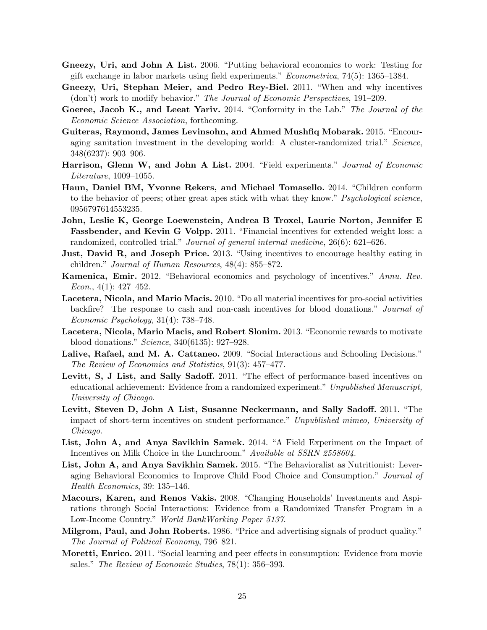- Gneezy, Uri, and John A List. 2006. "Putting behavioral economics to work: Testing for gift exchange in labor markets using field experiments." Econometrica, 74(5): 1365–1384.
- Gneezy, Uri, Stephan Meier, and Pedro Rey-Biel. 2011. "When and why incentives (don't) work to modify behavior." The Journal of Economic Perspectives, 191–209.
- Goeree, Jacob K., and Leeat Yariv. 2014. "Conformity in the Lab." The Journal of the Economic Science Association, forthcoming.
- Guiteras, Raymond, James Levinsohn, and Ahmed Mushfiq Mobarak. 2015. "Encouraging sanitation investment in the developing world: A cluster-randomized trial." Science, 348(6237): 903–906.
- Harrison, Glenn W, and John A List. 2004. "Field experiments." Journal of Economic Literature, 1009–1055.
- Haun, Daniel BM, Yvonne Rekers, and Michael Tomasello. 2014. "Children conform to the behavior of peers; other great apes stick with what they know." *Psychological science*, 0956797614553235.
- John, Leslie K, George Loewenstein, Andrea B Troxel, Laurie Norton, Jennifer E Fassbender, and Kevin G Volpp. 2011. "Financial incentives for extended weight loss: a randomized, controlled trial." Journal of general internal medicine, 26(6): 621–626.
- **Just, David R, and Joseph Price.** 2013. "Using incentives to encourage healthy eating in children." Journal of Human Resources, 48(4): 855–872.
- Kamenica, Emir. 2012. "Behavioral economics and psychology of incentives." Annu. Rev.  $Econ., 4(1): 427-452.$
- Lacetera, Nicola, and Mario Macis. 2010. "Do all material incentives for pro-social activities backfire? The response to cash and non-cash incentives for blood donations." Journal of Economic Psychology, 31(4): 738–748.
- Lacetera, Nicola, Mario Macis, and Robert Slonim. 2013. "Economic rewards to motivate blood donations." Science, 340(6135): 927–928.
- Lalive, Rafael, and M. A. Cattaneo. 2009. "Social Interactions and Schooling Decisions." The Review of Economics and Statistics, 91(3): 457–477.
- Levitt, S, J List, and Sally Sadoff. 2011. "The effect of performance-based incentives on educational achievement: Evidence from a randomized experiment." Unpublished Manuscript, University of Chicago.
- Levitt, Steven D, John A List, Susanne Neckermann, and Sally Sadoff. 2011. "The impact of short-term incentives on student performance." Unpublished mimeo, University of Chicago.
- List, John A, and Anya Savikhin Samek. 2014. "A Field Experiment on the Impact of Incentives on Milk Choice in the Lunchroom." Available at SSRN 2558604.
- List, John A, and Anya Savikhin Samek. 2015. "The Behavioralist as Nutritionist: Leveraging Behavioral Economics to Improve Child Food Choice and Consumption." Journal of Health Economics, 39: 135–146.
- Macours, Karen, and Renos Vakis. 2008. "Changing Households' Investments and Aspirations through Social Interactions: Evidence from a Randomized Transfer Program in a Low-Income Country." World BankWorking Paper 5137.
- Milgrom, Paul, and John Roberts. 1986. "Price and advertising signals of product quality." The Journal of Political Economy, 796–821.
- Moretti, Enrico. 2011. "Social learning and peer effects in consumption: Evidence from movie sales." The Review of Economic Studies, 78(1): 356–393.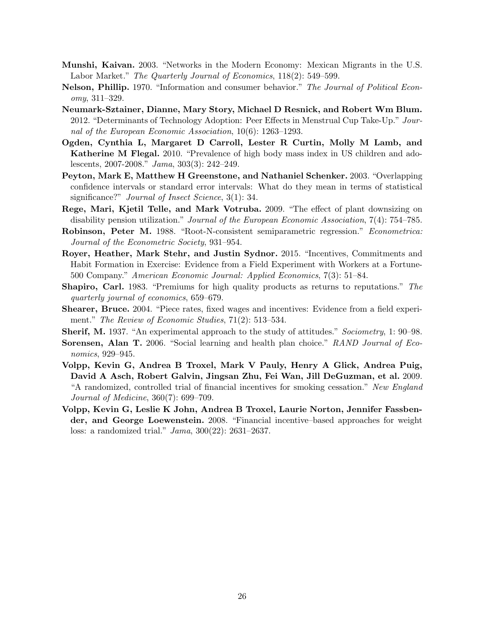- Munshi, Kaivan. 2003. "Networks in the Modern Economy: Mexican Migrants in the U.S. Labor Market." The Quarterly Journal of Economics, 118(2): 549–599.
- Nelson, Phillip. 1970. "Information and consumer behavior." The Journal of Political Economy, 311–329.
- Neumark-Sztainer, Dianne, Mary Story, Michael D Resnick, and Robert Wm Blum. 2012. "Determinants of Technology Adoption: Peer Effects in Menstrual Cup Take-Up." Journal of the European Economic Association, 10(6): 1263–1293.
- Ogden, Cynthia L, Margaret D Carroll, Lester R Curtin, Molly M Lamb, and Katherine M Flegal. 2010. "Prevalence of high body mass index in US children and adolescents, 2007-2008." Jama, 303(3): 242–249.
- Peyton, Mark E, Matthew H Greenstone, and Nathaniel Schenker. 2003. "Overlapping confidence intervals or standard error intervals: What do they mean in terms of statistical significance?" *Journal of Insect Science*, 3(1): 34.
- Rege, Mari, Kjetil Telle, and Mark Votruba. 2009. "The effect of plant downsizing on disability pension utilization." Journal of the European Economic Association, 7(4): 754–785.
- Robinson, Peter M. 1988. "Root-N-consistent semiparametric regression." Econometrica: Journal of the Econometric Society, 931–954.
- Royer, Heather, Mark Stehr, and Justin Sydnor. 2015. "Incentives, Commitments and Habit Formation in Exercise: Evidence from a Field Experiment with Workers at a Fortune-500 Company." American Economic Journal: Applied Economics, 7(3): 51–84.
- Shapiro, Carl. 1983. "Premiums for high quality products as returns to reputations." The quarterly journal of economics, 659–679.
- Shearer, Bruce. 2004. "Piece rates, fixed wages and incentives: Evidence from a field experiment." The Review of Economic Studies, 71(2): 513–534.
- Sherif, M. 1937. "An experimental approach to the study of attitudes." Sociometry, 1: 90–98.
- Sorensen, Alan T. 2006. "Social learning and health plan choice." RAND Journal of Economics, 929–945.
- Volpp, Kevin G, Andrea B Troxel, Mark V Pauly, Henry A Glick, Andrea Puig, David A Asch, Robert Galvin, Jingsan Zhu, Fei Wan, Jill DeGuzman, et al. 2009. "A randomized, controlled trial of financial incentives for smoking cessation." New England Journal of Medicine, 360(7): 699–709.
- Volpp, Kevin G, Leslie K John, Andrea B Troxel, Laurie Norton, Jennifer Fassbender, and George Loewenstein. 2008. "Financial incentive–based approaches for weight loss: a randomized trial." Jama, 300(22): 2631–2637.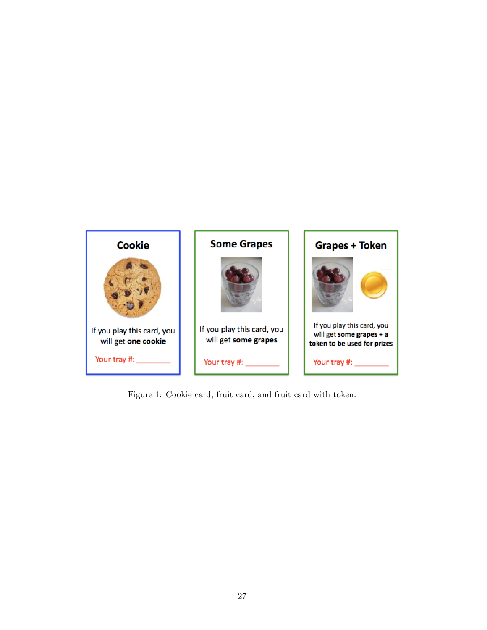

Figure 1: Cookie card, fruit card, and fruit card with token.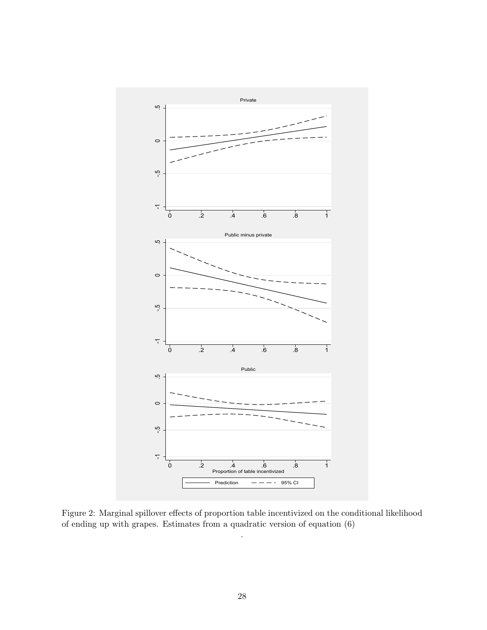

Figure 2: Marginal spillover effects of proportion table incentivized on the conditional likelihood of ending up with grapes. Estimates from a quadratic version of equation (6)

.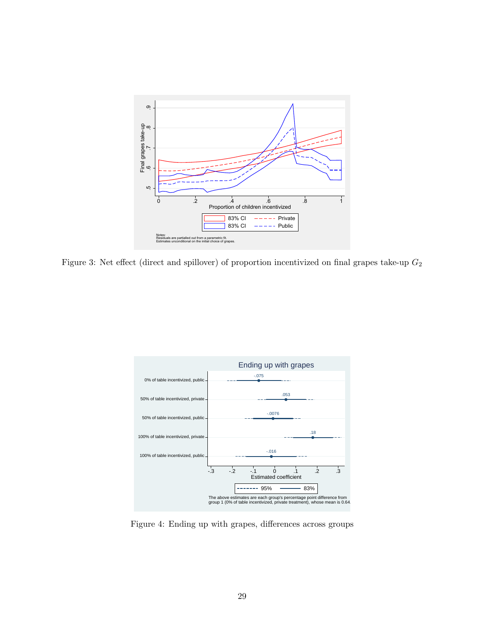

Figure 3: Net effect (direct and spillover) of proportion incentivized on final grapes take-up  $G_2$ 



Figure 4: Ending up with grapes, differences across groups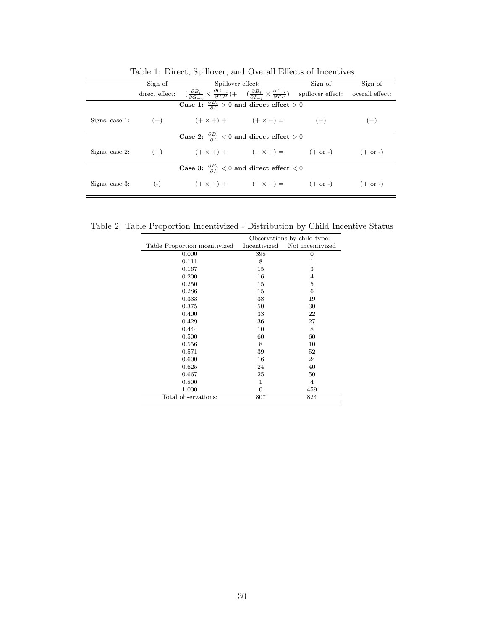|  | Sign of                                                                                                                                                                                                                                                        | Spillover effect: | Sign of | Sign of |
|--|----------------------------------------------------------------------------------------------------------------------------------------------------------------------------------------------------------------------------------------------------------------|-------------------|---------|---------|
|  | direct effect: $\left(\frac{\partial B_i}{\partial \tilde{G}_{-i}} \times \frac{\partial G_{-i}}{\partial TP}\right) + \left(\frac{\partial B_i}{\partial \tilde{I}_{-i}} \times \frac{\partial I_{-i}}{\partial TP}\right)$ spillover effect: overall effect: |                   |         |         |
|  | Case 1: $\frac{\partial B_i}{\partial I} > 0$ and direct effect $> 0$                                                                                                                                                                                          |                   |         |         |
|  | Signs, case 1: $(+)$ $(+ \times +) +$ $(+ \times +) =$ $(+)$                                                                                                                                                                                                   |                   |         | $(+)$   |
|  | Case 2: $\frac{\partial B_i}{\partial I} < 0$ and direct effect $> 0$                                                                                                                                                                                          |                   |         |         |
|  | Signs, case 2: $(+)$ $(+ \times +) +$ $(- \times +) =$ $(+ \text{ or } -)$ $(+ \text{ or } -)$                                                                                                                                                                 |                   |         |         |
|  | Case 3: $\frac{\partial B_i}{\partial I} < 0$ and direct effect $< 0$                                                                                                                                                                                          |                   |         |         |
|  | Signs, case 3: (-) $(+ \times -) +$ $(- \times -) =$ $(+ \text{ or } -)$ $(+ \text{ or } -)$                                                                                                                                                                   |                   |         |         |

Table 1: Direct, Spillover, and Overall Effects of Incentives

Table 2: Table Proportion Incentivized - Distribution by Child Incentive Status

|                               |                | Observations by child type: |
|-------------------------------|----------------|-----------------------------|
| Table Proportion incentivized | Incentivized   | Not incentivized            |
| 0.000                         | 398            | $\theta$                    |
| 0.111                         | 8              | 1                           |
| 0.167                         | 15             | 3                           |
| 0.200                         | 16             | 4                           |
| 0.250                         | 15             | 5                           |
| 0.286                         | 15             | 6                           |
| 0.333                         | 38             | 19                          |
| 0.375                         | 50             | 30                          |
| 0.400                         | 33             | 22                          |
| 0.429                         | 36             | 27                          |
| 0.444                         | 10             | 8                           |
| 0.500                         | 60             | 60                          |
| 0.556                         | 8              | 10                          |
| 0.571                         | 39             | 52                          |
| 0.600                         | 16             | 24                          |
| 0.625                         | 24             | 40                          |
| 0.667                         | 25             | 50                          |
| 0.800                         | 1              | $\overline{4}$              |
| 1.000                         | $\overline{0}$ | 459                         |
| Total observations:           | 807            | 824                         |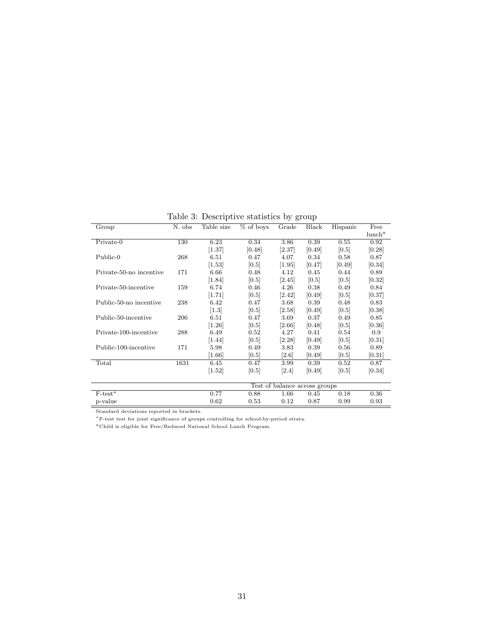Table 3: Descriptive statistics by group

| Group                   | N. obs | Table size          | % of boys | Grade                         | Black  | Hispanic | Free               |
|-------------------------|--------|---------------------|-----------|-------------------------------|--------|----------|--------------------|
|                         |        |                     |           |                               |        |          | lunch <sup>a</sup> |
| Private-0               | 130    | 6.23                | 0.34      | 3.86                          | 0.39   | 0.55     | 0.92               |
|                         |        | $\left[1.37\right]$ | [0.48]    | [2.37]                        | [0.49] | [0.5]    | [0.28]             |
| Public-0                | 268    | 6.51                | 0.47      | 4.07                          | 0.34   | 0.58     | 0.87               |
|                         |        | $\left[1.53\right]$ | [0.5]     | $[1.95]$                      | [0.47] | [0.49]   | [0.34]             |
| Private-50-no incentive | 171    | 6.66                | 0.48      | 4.12                          | 0.45   | 0.44     | 0.89               |
|                         |        | [1.84]              | [0.5]     | $\left[2.45\right]$           | [0.5]  | [0.5]    | [0.32]             |
| Private-50-incentive    | 159    | 6.74                | 0.46      | 4.26                          | 0.38   | 0.49     | 0.84               |
|                         |        | [1.71]              | [0.5]     | [2.42]                        | [0.49] | [0.5]    | [0.37]             |
| Public-50-no incentive  | 238    | 6.42                | 0.47      | 3.68                          | 0.39   | 0.48     | 0.83               |
|                         |        | [1.3]               | [0.5]     | [2.58]                        | [0.49] | [0.5]    | [0.38]             |
| Public-50-incentive     | 206    | 6.51                | 0.47      | 3.69                          | 0.37   | 0.49     | 0.85               |
|                         |        | $[1.26]$            | [0.5]     | [2.66]                        | [0.48] | [0.5]    | [0.36]             |
| Private-100-incentive   | 288    | 6.49                | $0.52\,$  | 4.27                          | 0.41   | 0.54     | 0.9                |
|                         |        | $\left[1.44\right]$ | [0.5]     | [2.28]                        | [0.49] | [0.5]    | [0.31]             |
| Public-100-incentive    | 171    | 5.98                | 0.49      | 3.83                          | 0.39   | 0.56     | 0.89               |
|                         |        | [1.66]              | [0.5]     | [2.6]                         | [0.49] | [0.5]    | [0.31]             |
| Total                   | 1631   | 6.45                | 0.47      | 3.99                          | 0.39   | 0.52     | 0.87               |
|                         |        | 1.52                | 0.5       | [2.4]                         | 0.49   | [0.5]    | [0.34]             |
|                         |        |                     |           |                               |        |          |                    |
|                         |        |                     |           | Test of balance across groups |        |          |                    |
| $F-test*$               |        | 0.77                | 0.88      | 1.66                          | 0.45   | 0.18     | 0.36               |
| p-value                 |        | 0.62                | 0.53      | 0.12                          | 0.87   | 0.99     | 0.93               |

Standard deviations reported in brackets. <sup>∗</sup>F-test test for joint significance of groups controlling for school-by-period strata.

 $\emph{^a}$  Child is eligible for Free/Reduced National School Lunch Program.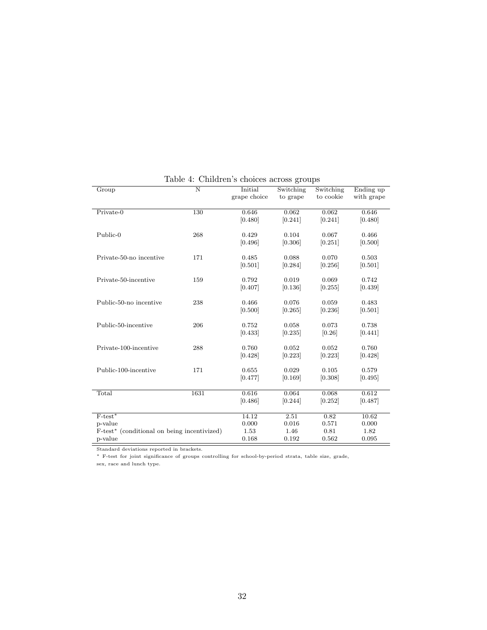| Group                                                   | $\overline{\text{N}}$ | Initial      | Switching | Switching | Ending up  |
|---------------------------------------------------------|-----------------------|--------------|-----------|-----------|------------|
|                                                         |                       | grape choice | to grape  | to cookie | with grape |
|                                                         |                       |              |           |           |            |
| Private-0                                               | 130                   | 0.646        | 0.062     | 0.062     | 0.646      |
|                                                         |                       | [0.480]      | [0.241]   | [0.241]   | [0.480]    |
|                                                         |                       |              |           |           |            |
| Public-0                                                | 268                   | 0.429        | 0.104     | 0.067     | 0.466      |
|                                                         |                       | [0.496]      | [0.306]   | [0.251]   | [0.500]    |
|                                                         |                       |              |           |           |            |
| Private-50-no incentive                                 | 171                   | 0.485        | 0.088     | 0.070     | 0.503      |
|                                                         |                       | [0.501]      | [0.284]   | [0.256]   | [0.501]    |
|                                                         |                       |              |           |           |            |
| Private-50-incentive                                    | 159                   | 0.792        | 0.019     | 0.069     | 0.742      |
|                                                         |                       | [0.407]      | [0.136]   | [0.255]   | [0.439]    |
|                                                         |                       |              |           |           |            |
| Public-50-no incentive                                  | 238                   | 0.466        | 0.076     | 0.059     | 0.483      |
|                                                         |                       | [0.500]      | [0.265]   | [0.236]   | [0.501]    |
| Public-50-incentive                                     | 206                   | 0.752        | 0.058     | 0.073     |            |
|                                                         |                       |              |           |           | 0.738      |
|                                                         |                       | [0.433]      | [0.235]   | [0.26]    | [0.441]    |
| Private-100-incentive                                   | 288                   | 0.760        | 0.052     | 0.052     | 0.760      |
|                                                         |                       | [0.428]      | [0.223]   | [0.223]   | [0.428]    |
|                                                         |                       |              |           |           |            |
| Public-100-incentive                                    | 171                   | 0.655        | 0.029     | 0.105     | 0.579      |
|                                                         |                       | [0.477]      | [0.169]   | [0.308]   | [0.495]    |
|                                                         |                       |              |           |           |            |
| Total                                                   | 1631                  | 0.616        | 0.064     | 0.068     | 0.612      |
|                                                         |                       | [0.486]      | [0.244]   | [0.252]   | [0.487]    |
|                                                         |                       |              |           |           |            |
| $F$ -test*                                              |                       | 14.12        | 2.51      | 0.82      | 10.62      |
| p-value                                                 |                       | 0.000        | 0.016     | 0.571     | 0.000      |
| F-test <sup>*</sup> (conditional on being incentivized) |                       | 1.53         | 1.46      | 0.81      | 1.82       |
| p-value                                                 |                       | 0.168        | 0.192     | 0.562     | 0.095      |
|                                                         |                       |              |           |           |            |

Table 4: Children's choices across groups

Standard deviations reported in brackets.

<sup>∗</sup> F-test for joint significance of groups controlling for school-by-period strata, table size, grade,

sex, race and lunch type.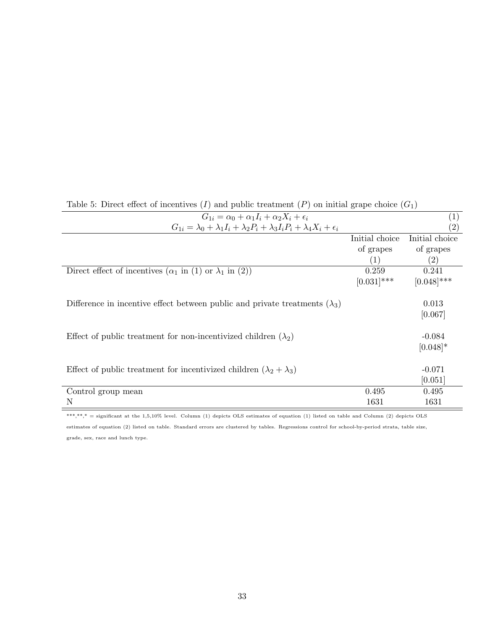| Table 5: Direct effect of incentives (1) and public treatment (P) on initial grape choice ( $G_1$ )   |                |                   |
|-------------------------------------------------------------------------------------------------------|----------------|-------------------|
| $G_{1i} = \alpha_0 + \alpha_1 I_i + \alpha_2 X_i + \epsilon_i$                                        |                | $\left( 1\right)$ |
| $G_{1i} = \lambda_0 + \lambda_1 I_i + \lambda_2 P_i + \lambda_3 I_i P_i + \lambda_4 X_i + \epsilon_i$ |                | $\left( 2\right)$ |
|                                                                                                       | Initial choice | Initial choice    |
|                                                                                                       | of grapes      | of grapes         |
|                                                                                                       | (1)            | $\left( 2\right)$ |
| Direct effect of incentives $(\alpha_1$ in (1) or $\lambda_1$ in (2))                                 | 0.259          | 0.241             |
|                                                                                                       | $[0.031]$ ***  | $[0.048]$ ***     |
|                                                                                                       |                |                   |
| Difference in incentive effect between public and private treatments $(\lambda_3)$                    |                | 0.013             |
|                                                                                                       |                | [0.067]           |
|                                                                                                       |                |                   |
| Effect of public treatment for non-incentivized children $(\lambda_2)$                                |                | $-0.084$          |
|                                                                                                       |                | $[0.048]*$        |
|                                                                                                       |                |                   |
| Effect of public treatment for incentivized children $(\lambda_2 + \lambda_3)$                        |                | $-0.071$          |
|                                                                                                       |                | [0.051]           |
| Control group mean                                                                                    | 0.495          | 0.495             |
| N                                                                                                     | 1631           | 1631              |
|                                                                                                       |                |                   |

Table 5: Direct effect of incentives  $(I)$  and public treatment  $(P)$  on initial grape choice  $(G_1)$ 

\*\*\*,\*\*,\* = significant at the 1,5,10% level. Column (1) depicts OLS estimates of equation (1) listed on table and Column (2) depicts OLS

estimates of equation (2) listed on table. Standard errors are clustered by tables. Regressions control for school-by-period strata, table size, grade, sex, race and lunch type.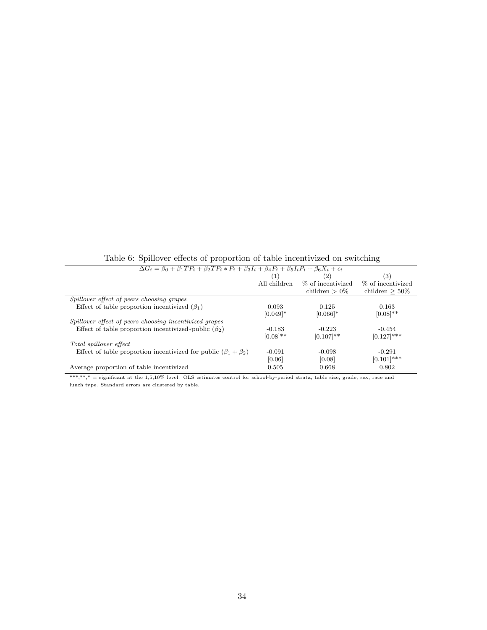| $\Delta G_i = \beta_0 + \beta_1 T P_i + \beta_2 T P_i * P_i + \beta_3 I_i + \beta_4 P_i + \beta_5 I_i P_i + \beta_6 X_i + \epsilon_i$ |               |                        |                   |
|---------------------------------------------------------------------------------------------------------------------------------------|---------------|------------------------|-------------------|
|                                                                                                                                       |               | (2)                    | (3)               |
|                                                                                                                                       | All children  | % of incentivized      | % of incentivized |
|                                                                                                                                       |               | children $> 0\%$       | children $>50\%$  |
| Spillover effect of peers choosing grapes                                                                                             |               |                        |                   |
| Effect of table proportion incentivized $(\beta_1)$                                                                                   | 0.093         | 0.125                  | 0.163             |
|                                                                                                                                       | $[0.049]$ *   | $[0.066]$ <sup>*</sup> | $[0.08]$ **       |
| Spillover effect of peers choosing incentivized grapes                                                                                |               |                        |                   |
| Effect of table proportion incentivized*public $(\beta_2)$                                                                            | $-0.183$      | $-0.223$               | $-0.454$          |
|                                                                                                                                       | $[0.08]^{**}$ | $[0.107]$ **           | $[0.127]$ ***     |
| Total spillover effect                                                                                                                |               |                        |                   |
| Effect of table proportion incentivized for public $(\beta_1 + \beta_2)$                                                              | $-0.091$      | $-0.098$               | $-0.291$          |
|                                                                                                                                       | [0.06]        | [0.08]                 | $(0.101)$ ***     |
| Average proportion of table incentivized                                                                                              | 0.505         | 0.668                  | 0.802             |

Table 6: Spillover effects of proportion of table incentivized on switching

\*\*\*,\*\*,\* = significant at the 1,5,10% level. OLS estimates control for school-by-period strata, table size, grade, sex, race and lunch type. Standard errors are clustered by table.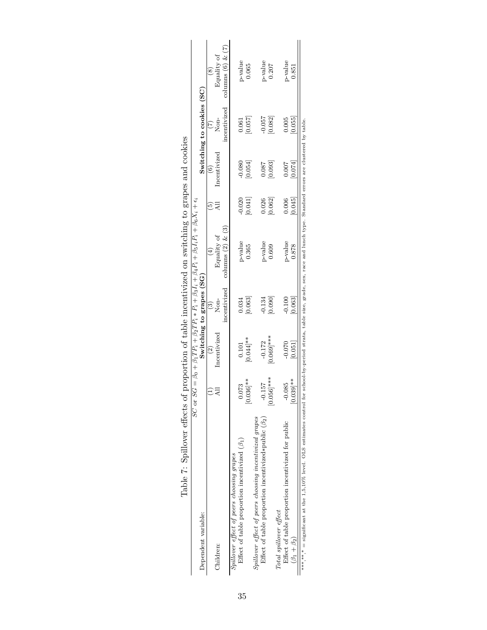| lable <i>i</i> : Spillover effects of                                  |               |                |                          | proportion of table incentivized on switching to grapes and cookies<br>SC or $SG = \beta_0 + \beta_1 T P_i + \beta_2 T P_i * P_i + \beta_3 I_i + \beta_4 P_i + \beta_5 I_i P_i + \beta_6 X_i + \epsilon_i$ |          |             |                           |                       |
|------------------------------------------------------------------------|---------------|----------------|--------------------------|------------------------------------------------------------------------------------------------------------------------------------------------------------------------------------------------------------|----------|-------------|---------------------------|-----------------------|
| Dependent variable:                                                    |               |                | Switching to grapes (SG) |                                                                                                                                                                                                            |          |             | Switching to cookies (SC) |                       |
|                                                                        |               |                | ව                        |                                                                                                                                                                                                            | ì٢,      |             | Ŀ,                        |                       |
| Children:                                                              |               | ncentivized    | Non-                     | Equality of                                                                                                                                                                                                |          | ncentivized | Non-                      | Equality of           |
|                                                                        |               |                | incentivized             | columns $(2)$ & $(3)$                                                                                                                                                                                      |          |             | incentivized              | columns $(6)$ & $(7)$ |
| Spillover effect of peers choosing grapes                              |               |                |                          |                                                                                                                                                                                                            |          |             |                           |                       |
| Effect of table proportion incentivized $(\beta_1)$                    | 0.073         | 0.101          | 0.034                    | p-value                                                                                                                                                                                                    | $-0.020$ | $-0.080$    | 0.061                     | $p$ -value            |
|                                                                        | $[0.036]$ **  | $0.044$ **     | [0.063]                  | 0.365                                                                                                                                                                                                      | 0.041]   | 0.054       | [0.057]                   | 0.065                 |
| Spillover effect of peers choosing incentivized grapes                 |               |                |                          |                                                                                                                                                                                                            |          |             |                           |                       |
| Effect of table proportion incentivized*public $(\beta_2)$             | $-0.157$      | $-0.172$       | 0.134                    | p-value                                                                                                                                                                                                    | 0.026    | 0.087       | $-0.057$                  | p-value               |
|                                                                        | $[0.056]$ *** | $***$ [690'0.0 | 0.090                    | 0.609                                                                                                                                                                                                      | [0.062]  | 0.093]      | [0.082]                   | 0.207                 |
| Total spillover effect                                                 |               |                |                          |                                                                                                                                                                                                            |          |             |                           |                       |
| Effect of table proportion incentivized for public                     | $-0.085$      | $-0.070$       | $-0.100$                 | p-value                                                                                                                                                                                                    | 0.006    | 0.007       | 0.005                     | $p$ -value            |
| $(\beta_1 + \beta_2)$                                                  | $[0.039]$ **  | [0.051]        | 0.063                    | 0.878                                                                                                                                                                                                      | 0.045    | [0.074]     | 0.055                     | 0.851                 |
| ***,**,* = significant at the 1,5,10% level. OLS estimates control for |               |                |                          | school-by-period strata, table size, grade, sex, race and lunch type. Standard errors are clustered by table.                                                                                              |          |             |                           |                       |

| Ì<br>l                                                                                           |  |
|--------------------------------------------------------------------------------------------------|--|
| $\ddot{\phantom{0}}$                                                                             |  |
| ו<br>ו<br>$\sim$ $\sim$ $\sim$ $\sim$ $\sim$ $\sim$<br>l                                         |  |
|                                                                                                  |  |
| ׇ֚֘֡                                                                                             |  |
| $C = 10$<br>$\frac{1}{2}$                                                                        |  |
| $\vdots$<br>j<br>.<br>ו<br>l                                                                     |  |
| $\frac{1}{2}$                                                                                    |  |
| ֧֧֧֧ׅ֧֧֧ׅ֧֧ׅ֧֛ׅ֧֛֛֧֛֪֪֛֪֛֪֛֪ׅ֛֛֪֛֛֛֛֛֚֚֚֚֚֚֚֚֚֚֚֚֚֚֚֡֟֓֝֓֜֜֜֓֝֟֓֝֟֜֓֝֬֜֓֜֓֜֜֝֜֜<br>I<br>$\vdots$ |  |
| ï                                                                                                |  |
|                                                                                                  |  |
| l<br>$\frac{1}{2}$<br>$\frac{1}{2}$<br>ı<br>l<br>I                                               |  |
| l<br>I                                                                                           |  |
|                                                                                                  |  |
| I<br>ï<br>j                                                                                      |  |
| l                                                                                                |  |
| l                                                                                                |  |
| ï<br>į                                                                                           |  |
| I<br>l                                                                                           |  |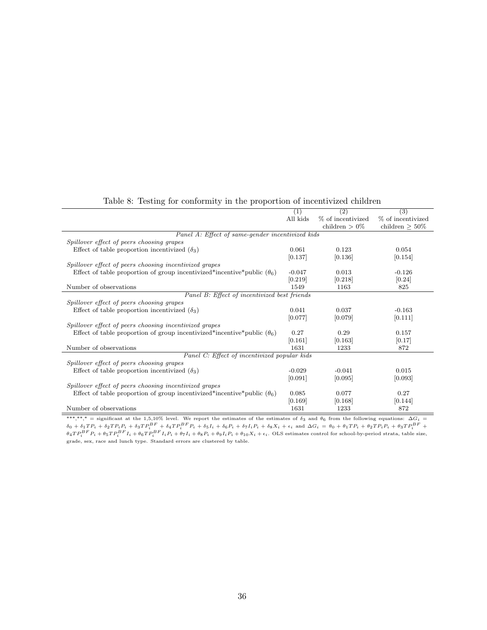|                                                                                | (1)      | $\left( 2\right)$ | (3)               |
|--------------------------------------------------------------------------------|----------|-------------------|-------------------|
|                                                                                | All kids | % of incentivized | % of incentivized |
|                                                                                |          | children $>0\%$   | children $> 50\%$ |
| Panel A: Effect of same-gender incentivized kids                               |          |                   |                   |
| Spillover effect of peers choosing grapes                                      |          |                   |                   |
| Effect of table proportion incentivized $(\delta_3)$                           | 0.061    | 0.123             | 0.054             |
|                                                                                | [0.137]  | [0.136]           | [0.154]           |
| Spillover effect of peers choosing incentivized grapes                         |          |                   |                   |
| Effect of table proportion of group incentivized*incentive*public $(\theta_6)$ | $-0.047$ | 0.013             | $-0.126$          |
|                                                                                | [0.219]  | [0.218]           | [0.24]            |
| Number of observations                                                         | 1549     | 1163              | 825               |
| Panel B: Effect of incentivized best friends                                   |          |                   |                   |
| Spillover effect of peers choosing grapes                                      |          |                   |                   |
| Effect of table proportion incentivized $(\delta_3)$                           | 0.041    | 0.037             | $-0.163$          |
|                                                                                | [0.077]  | [0.079]           | [0.111]           |
| Spillover effect of peers choosing incentivized grapes                         |          |                   |                   |
| Effect of table proportion of group incentivized*incentive*public $(\theta_6)$ | 0.27     | 0.29              | 0.157             |
|                                                                                | [0.161]  | [0.163]           | [0.17]            |
| Number of observations                                                         | 1631     | 1233              | 872               |
| Panel C: Effect of incentivized popular kids                                   |          |                   |                   |
| Spillover effect of peers choosing grapes                                      |          |                   |                   |
| Effect of table proportion incentivized $(\delta_3)$                           | $-0.029$ | $-0.041$          | 0.015             |
|                                                                                | [0.091]  | [0.095]           | [0.093]           |
| Spillover effect of peers choosing incentivized grapes                         |          |                   |                   |
| Effect of table proportion of group incentivized*incentive*public $(\theta_6)$ | 0.085    | 0.077             | 0.27              |
|                                                                                | [0.169]  | [0.168]           | [0.144]           |
| Number of observations                                                         | 1631     | 1233              | 872               |

#### Table 8: Testing for conformity in the proportion of incentivized children

\*\*\*,\*\*,\* = significant at the 1,5,10% level. We report the estimates of the estimates of  $\delta_3$  and  $\theta_6$  from the following equations:  $\Delta G_i = \delta_0 + \delta_1 T P_i + \delta_2 T P_i P_i + \delta_3 T P_i^B F + \delta_4 T P_i^B F_i + \delta_5 I_i + \delta_6 P_i + \delta_7 I_i P_i + \delta_8 X_i + \epsilon$ grade, sex, race and lunch type. Standard errors are clustered by table.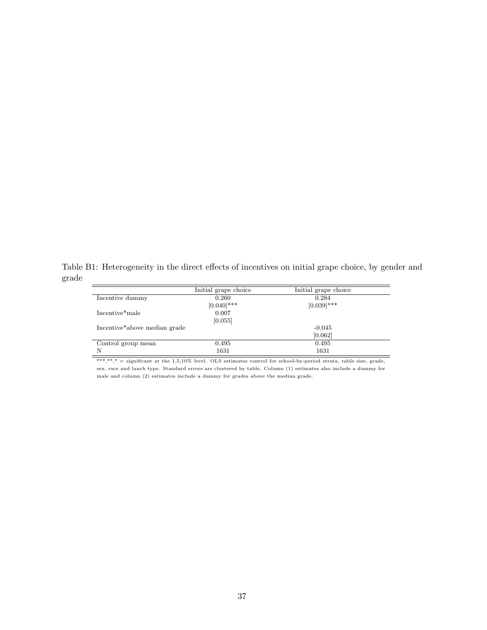Table B1: Heterogeneity in the direct effects of incentives on initial grape choice, by gender and grade  $\equiv$ 

|                                           | Initial grape choice | Initial grape choice |
|-------------------------------------------|----------------------|----------------------|
| Incentive dummy                           | 0.260                | 0.284                |
|                                           | $[0.040]$ ***        | $[0.039]$ ***        |
| Incentive*male                            | 0.007                |                      |
|                                           | [0.055]              |                      |
| Incentive <sup>*</sup> above median grade |                      | $-0.045$             |
|                                           |                      | [0.062]              |
| Control group mean                        | 0.495                | 0.495                |
| N                                         | 1631                 | 1631                 |

 $***$ ,\*\*,\* = significant at the 1,5,10% level. OLS estimates control for school-by-period strata, table size, grade, sex, race and lunch type. Standard errors are clustered by table. Column (1) estimates also include a dummy for male and column (2) estimates include a dummy for grades above the median grade.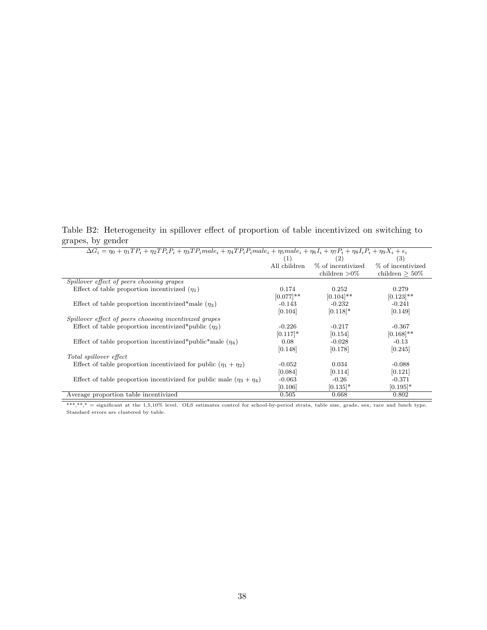Table B2: Heterogeneity in spillover effect of proportion of table incentivized on switching to grapes, by gender

| (1)          | (2)               | (3)                                                                                                                                                                                                     |
|--------------|-------------------|---------------------------------------------------------------------------------------------------------------------------------------------------------------------------------------------------------|
| All children | % of incentivized | % of incentivized                                                                                                                                                                                       |
|              | children $>0\%$   | children $>50\%$                                                                                                                                                                                        |
|              |                   |                                                                                                                                                                                                         |
| 0.174        | 0.252             | 0.279                                                                                                                                                                                                   |
| $[0.077]$ ** | $[0.104]$ **      | $[0.123]$ **                                                                                                                                                                                            |
| $-0.143$     | $-0.232$          | $-0.241$                                                                                                                                                                                                |
| [0.104]      | $[0.118]*$        | [0.149]                                                                                                                                                                                                 |
|              |                   |                                                                                                                                                                                                         |
| $-0.226$     | $-0.217$          | $-0.367$                                                                                                                                                                                                |
| $[0.117]$ *  | [0.154]           | $[0.168]$ **                                                                                                                                                                                            |
| 0.08         | $-0.028$          | $-0.13$                                                                                                                                                                                                 |
| [0.148]      | [0.178]           | [0.245]                                                                                                                                                                                                 |
|              |                   |                                                                                                                                                                                                         |
| $-0.052$     | 0.034             | $-0.088$                                                                                                                                                                                                |
| [0.084]      | [0.114]           | [0.121]                                                                                                                                                                                                 |
| $-0.063$     | $-0.26$           | $-0.371$                                                                                                                                                                                                |
| [0.106]      | $ 0.135 $ *       | $[0.195]$ *                                                                                                                                                                                             |
| 0.505        | 0.668             | 0.802                                                                                                                                                                                                   |
|              |                   | $\overline{\Delta G_i} = \eta_0 + \eta_1 T P_i + \eta_2 T P_i P_i + \eta_3 T P_i male_i + \eta_4 T P_i P_i male_i + \eta_5 male_i + \eta_6 I_i + \eta_7 P_i + \eta_8 I_i P_i + \eta_9 X_i + \epsilon_i$ |

\*\*\*,\*\*\*,\* = significant at the 1,5,10% level. OLS estimates control for school-by-period strata, table size, grade, sex, race and lunch type. Standard errors are clustered by table.